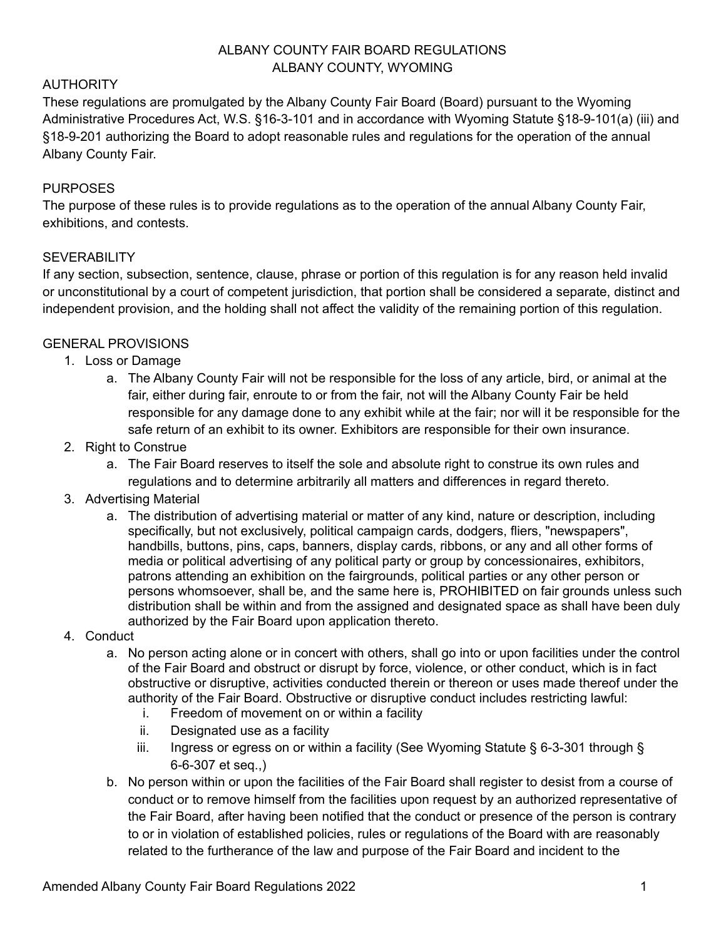### ALBANY COUNTY FAIR BOARD REGULATIONS ALBANY COUNTY, WYOMING

### AUTHORITY

These regulations are promulgated by the Albany County Fair Board (Board) pursuant to the Wyoming Administrative Procedures Act, W.S. §16-3-101 and in accordance with Wyoming Statute §18-9-101(a) (iii) and §18-9-201 authorizing the Board to adopt reasonable rules and regulations for the operation of the annual Albany County Fair.

### PURPOSES

The purpose of these rules is to provide regulations as to the operation of the annual Albany County Fair, exhibitions, and contests.

#### SEVERABILITY

If any section, subsection, sentence, clause, phrase or portion of this regulation is for any reason held invalid or unconstitutional by a court of competent jurisdiction, that portion shall be considered a separate, distinct and independent provision, and the holding shall not affect the validity of the remaining portion of this regulation.

#### GENERAL PROVISIONS

- 1. Loss or Damage
	- a. The Albany County Fair will not be responsible for the loss of any article, bird, or animal at the fair, either during fair, enroute to or from the fair, not will the Albany County Fair be held responsible for any damage done to any exhibit while at the fair; nor will it be responsible for the safe return of an exhibit to its owner. Exhibitors are responsible for their own insurance.
- 2. Right to Construe
	- a. The Fair Board reserves to itself the sole and absolute right to construe its own rules and regulations and to determine arbitrarily all matters and differences in regard thereto.
- 3. Advertising Material
	- a. The distribution of advertising material or matter of any kind, nature or description, including specifically, but not exclusively, political campaign cards, dodgers, fliers, "newspapers", handbills, buttons, pins, caps, banners, display cards, ribbons, or any and all other forms of media or political advertising of any political party or group by concessionaires, exhibitors, patrons attending an exhibition on the fairgrounds, political parties or any other person or persons whomsoever, shall be, and the same here is, PROHIBITED on fair grounds unless such distribution shall be within and from the assigned and designated space as shall have been duly authorized by the Fair Board upon application thereto.
- 4. Conduct
	- a. No person acting alone or in concert with others, shall go into or upon facilities under the control of the Fair Board and obstruct or disrupt by force, violence, or other conduct, which is in fact obstructive or disruptive, activities conducted therein or thereon or uses made thereof under the authority of the Fair Board. Obstructive or disruptive conduct includes restricting lawful:
		- i. Freedom of movement on or within a facility
		- ii. Designated use as a facility
		- iii. Ingress or egress on or within a facility (See Wyoming Statute § 6-3-301 through § 6-6-307 et seq.,)
	- b. No person within or upon the facilities of the Fair Board shall register to desist from a course of conduct or to remove himself from the facilities upon request by an authorized representative of the Fair Board, after having been notified that the conduct or presence of the person is contrary to or in violation of established policies, rules or regulations of the Board with are reasonably related to the furtherance of the law and purpose of the Fair Board and incident to the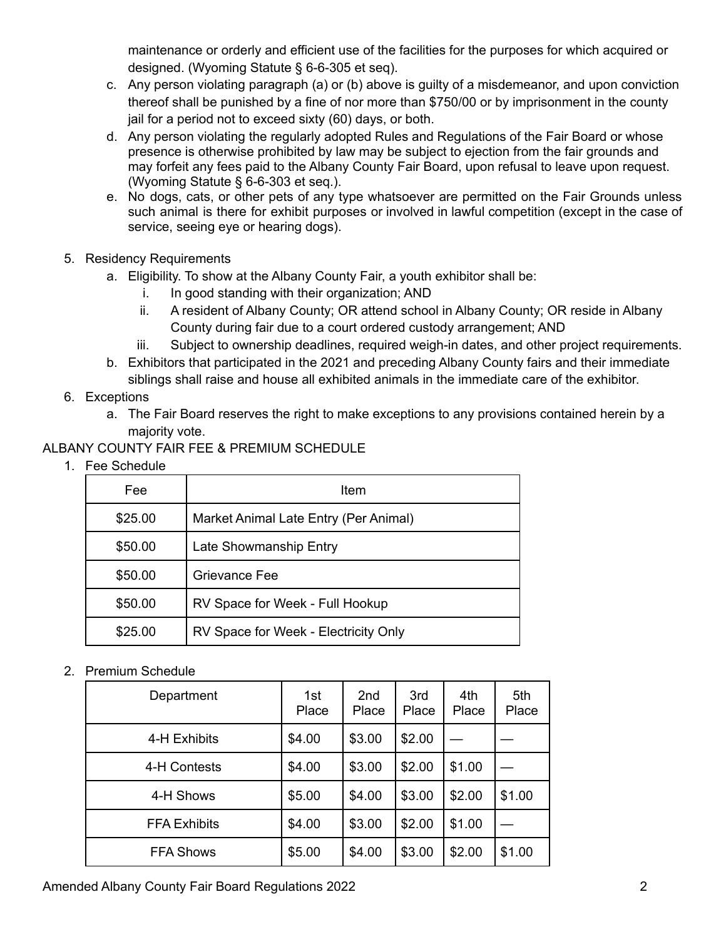maintenance or orderly and efficient use of the facilities for the purposes for which acquired or designed. (Wyoming Statute § 6-6-305 et seq).

- c. Any person violating paragraph (a) or (b) above is guilty of a misdemeanor, and upon conviction thereof shall be punished by a fine of nor more than \$750/00 or by imprisonment in the county jail for a period not to exceed sixty (60) days, or both.
- d. Any person violating the regularly adopted Rules and Regulations of the Fair Board or whose presence is otherwise prohibited by law may be subject to ejection from the fair grounds and may forfeit any fees paid to the Albany County Fair Board, upon refusal to leave upon request. (Wyoming Statute § 6-6-303 et seq.).
- e. No dogs, cats, or other pets of any type whatsoever are permitted on the Fair Grounds unless such animal is there for exhibit purposes or involved in lawful competition (except in the case of service, seeing eye or hearing dogs).
- 5. Residency Requirements
	- a. Eligibility. To show at the Albany County Fair, a youth exhibitor shall be:
		- i. In good standing with their organization; AND
		- ii. A resident of Albany County; OR attend school in Albany County; OR reside in Albany County during fair due to a court ordered custody arrangement; AND
		- iii. Subject to ownership deadlines, required weigh-in dates, and other project requirements.
	- b. Exhibitors that participated in the 2021 and preceding Albany County fairs and their immediate siblings shall raise and house all exhibited animals in the immediate care of the exhibitor.
- 6. Exceptions
	- a. The Fair Board reserves the right to make exceptions to any provisions contained herein by a majority vote.

## ALBANY COUNTY FAIR FEE & PREMIUM SCHEDULE

1. Fee Schedule

| Fee     | Item                                  |
|---------|---------------------------------------|
| \$25.00 | Market Animal Late Entry (Per Animal) |
| \$50.00 | Late Showmanship Entry                |
| \$50.00 | Grievance Fee                         |
| \$50.00 | RV Space for Week - Full Hookup       |
| \$25.00 | RV Space for Week - Electricity Only  |

### 2. Premium Schedule

| Department          | 1st<br>Place | 2 <sub>nd</sub><br>Place | 3rd<br>Place | 4th<br>Place | 5th<br>Place |
|---------------------|--------------|--------------------------|--------------|--------------|--------------|
| 4-H Exhibits        | \$4.00       | \$3.00                   | \$2.00       |              |              |
| 4-H Contests        | \$4.00       | \$3.00                   | \$2.00       | \$1.00       |              |
| 4-H Shows           | \$5.00       | \$4.00                   | \$3.00       | \$2.00       | \$1.00       |
| <b>FFA Exhibits</b> | \$4.00       | \$3.00                   | \$2.00       | \$1.00       |              |
| <b>FFA Shows</b>    | \$5.00       | \$4.00                   | \$3.00       | \$2.00       | \$1.00       |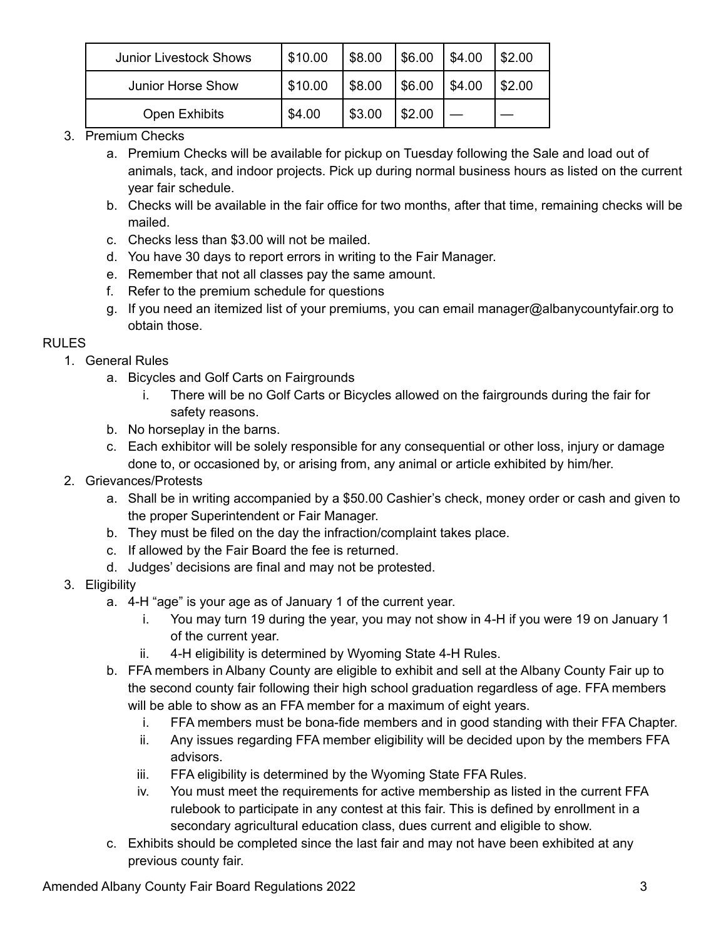| <b>Junior Livestock Shows</b> | \$10.00 | \$8.00 | \$6.00 | \$4.00 | \$2.00 |
|-------------------------------|---------|--------|--------|--------|--------|
| Junior Horse Show             | \$10.00 | \$8.00 | \$6.00 | \$4.00 | \$2.00 |
| Open Exhibits                 | \$4.00  | \$3.00 | \$2.00 |        |        |

- 3. Premium Checks
	- a. Premium Checks will be available for pickup on Tuesday following the Sale and load out of animals, tack, and indoor projects. Pick up during normal business hours as listed on the current year fair schedule.
	- b. Checks will be available in the fair office for two months, after that time, remaining checks will be mailed.
	- c. Checks less than \$3.00 will not be mailed.
	- d. You have 30 days to report errors in writing to the Fair Manager.
	- e. Remember that not all classes pay the same amount.
	- f. Refer to the premium schedule for questions
	- g. If you need an itemized list of your premiums, you can email manager@albanycountyfair.org to obtain those.

### RULES

- 1. General Rules
	- a. Bicycles and Golf Carts on Fairgrounds
		- i. There will be no Golf Carts or Bicycles allowed on the fairgrounds during the fair for safety reasons.
	- b. No horseplay in the barns.
	- c. Each exhibitor will be solely responsible for any consequential or other loss, injury or damage done to, or occasioned by, or arising from, any animal or article exhibited by him/her.
- 2. Grievances/Protests
	- a. Shall be in writing accompanied by a \$50.00 Cashier's check, money order or cash and given to the proper Superintendent or Fair Manager.
	- b. They must be filed on the day the infraction/complaint takes place.
	- c. If allowed by the Fair Board the fee is returned.
	- d. Judges' decisions are final and may not be protested.
- 3. Eligibility
	- a. 4-H "age" is your age as of January 1 of the current year.
		- i. You may turn 19 during the year, you may not show in 4-H if you were 19 on January 1 of the current year.
		- ii. 4-H eligibility is determined by Wyoming State 4-H Rules.
	- b. FFA members in Albany County are eligible to exhibit and sell at the Albany County Fair up to the second county fair following their high school graduation regardless of age. FFA members will be able to show as an FFA member for a maximum of eight years.
		- i. FFA members must be bona-fide members and in good standing with their FFA Chapter.
		- ii. Any issues regarding FFA member eligibility will be decided upon by the members FFA advisors.
		- iii. FFA eligibility is determined by the Wyoming State FFA Rules.
		- iv. You must meet the requirements for active membership as listed in the current FFA rulebook to participate in any contest at this fair. This is defined by enrollment in a secondary agricultural education class, dues current and eligible to show.
	- c. Exhibits should be completed since the last fair and may not have been exhibited at any previous county fair.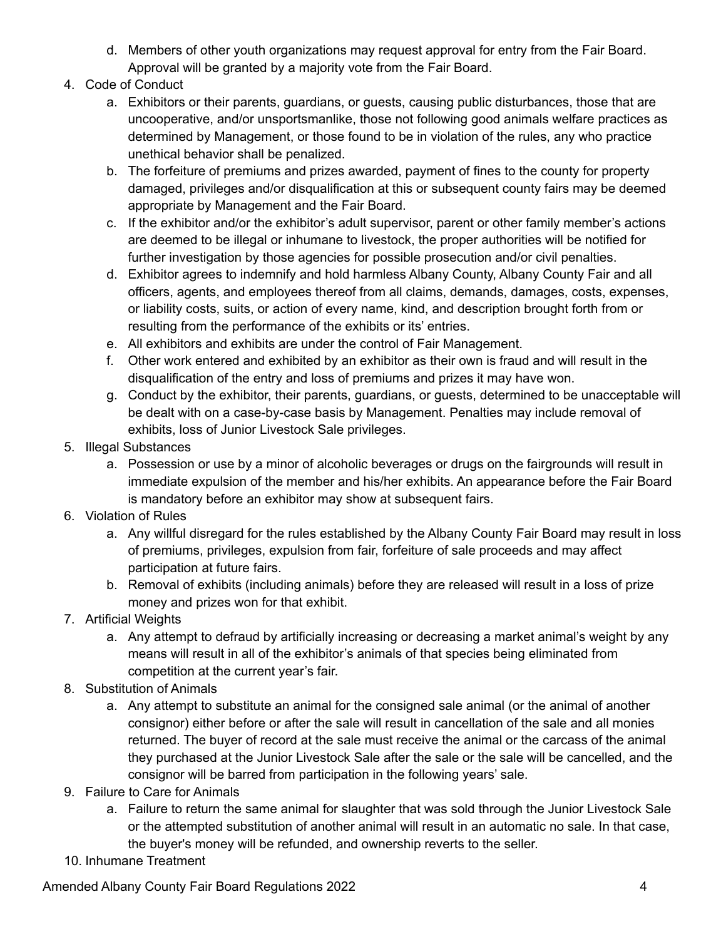- d. Members of other youth organizations may request approval for entry from the Fair Board. Approval will be granted by a majority vote from the Fair Board.
- 4. Code of Conduct
	- a. Exhibitors or their parents, guardians, or guests, causing public disturbances, those that are uncooperative, and/or unsportsmanlike, those not following good animals welfare practices as determined by Management, or those found to be in violation of the rules, any who practice unethical behavior shall be penalized.
	- b. The forfeiture of premiums and prizes awarded, payment of fines to the county for property damaged, privileges and/or disqualification at this or subsequent county fairs may be deemed appropriate by Management and the Fair Board.
	- c. If the exhibitor and/or the exhibitor's adult supervisor, parent or other family member's actions are deemed to be illegal or inhumane to livestock, the proper authorities will be notified for further investigation by those agencies for possible prosecution and/or civil penalties.
	- d. Exhibitor agrees to indemnify and hold harmless Albany County, Albany County Fair and all officers, agents, and employees thereof from all claims, demands, damages, costs, expenses, or liability costs, suits, or action of every name, kind, and description brought forth from or resulting from the performance of the exhibits or its' entries.
	- e. All exhibitors and exhibits are under the control of Fair Management.
	- f. Other work entered and exhibited by an exhibitor as their own is fraud and will result in the disqualification of the entry and loss of premiums and prizes it may have won.
	- g. Conduct by the exhibitor, their parents, guardians, or guests, determined to be unacceptable will be dealt with on a case-by-case basis by Management. Penalties may include removal of exhibits, loss of Junior Livestock Sale privileges.
- 5. Illegal Substances
	- a. Possession or use by a minor of alcoholic beverages or drugs on the fairgrounds will result in immediate expulsion of the member and his/her exhibits. An appearance before the Fair Board is mandatory before an exhibitor may show at subsequent fairs.
- 6. Violation of Rules
	- a. Any willful disregard for the rules established by the Albany County Fair Board may result in loss of premiums, privileges, expulsion from fair, forfeiture of sale proceeds and may affect participation at future fairs.
	- b. Removal of exhibits (including animals) before they are released will result in a loss of prize money and prizes won for that exhibit.
- 7. Artificial Weights
	- a. Any attempt to defraud by artificially increasing or decreasing a market animal's weight by any means will result in all of the exhibitor's animals of that species being eliminated from competition at the current year's fair.
- 8. Substitution of Animals
	- a. Any attempt to substitute an animal for the consigned sale animal (or the animal of another consignor) either before or after the sale will result in cancellation of the sale and all monies returned. The buyer of record at the sale must receive the animal or the carcass of the animal they purchased at the Junior Livestock Sale after the sale or the sale will be cancelled, and the consignor will be barred from participation in the following years' sale.
- 9. Failure to Care for Animals
	- a. Failure to return the same animal for slaughter that was sold through the Junior Livestock Sale or the attempted substitution of another animal will result in an automatic no sale. In that case, the buyer's money will be refunded, and ownership reverts to the seller.
- 10. Inhumane Treatment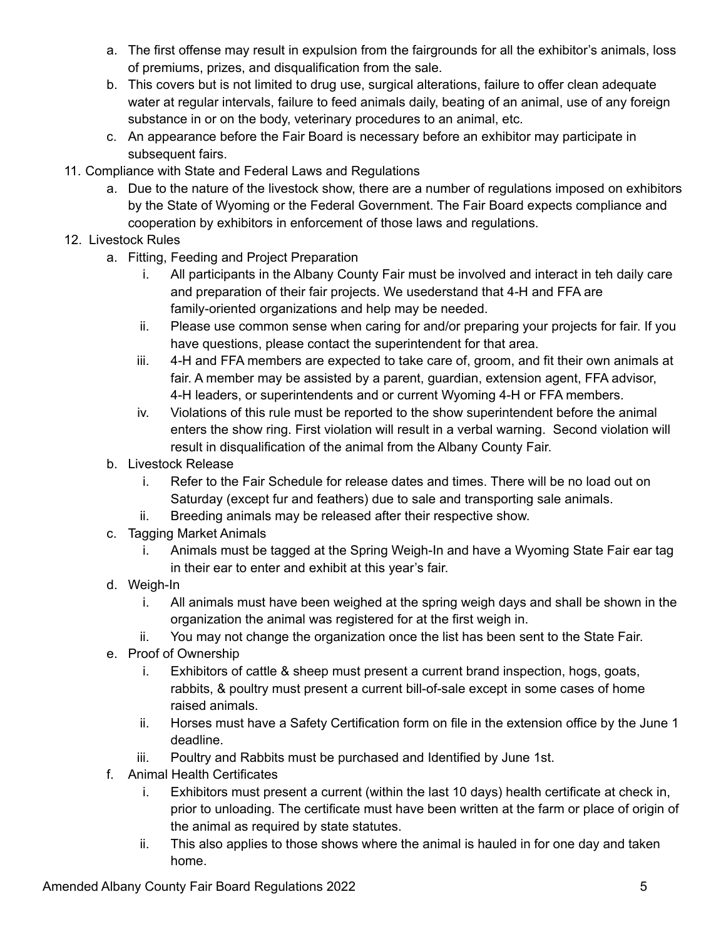- a. The first offense may result in expulsion from the fairgrounds for all the exhibitor's animals, loss of premiums, prizes, and disqualification from the sale.
- b. This covers but is not limited to drug use, surgical alterations, failure to offer clean adequate water at regular intervals, failure to feed animals daily, beating of an animal, use of any foreign substance in or on the body, veterinary procedures to an animal, etc.
- c. An appearance before the Fair Board is necessary before an exhibitor may participate in subsequent fairs.
- 11. Compliance with State and Federal Laws and Regulations
	- a. Due to the nature of the livestock show, there are a number of regulations imposed on exhibitors by the State of Wyoming or the Federal Government. The Fair Board expects compliance and cooperation by exhibitors in enforcement of those laws and regulations.
- 12. Livestock Rules
	- a. Fitting, Feeding and Project Preparation
		- i. All participants in the Albany County Fair must be involved and interact in teh daily care and preparation of their fair projects. We usederstand that 4-H and FFA are family-oriented organizations and help may be needed.
		- ii. Please use common sense when caring for and/or preparing your projects for fair. If you have questions, please contact the superintendent for that area.
		- iii. 4-H and FFA members are expected to take care of, groom, and fit their own animals at fair. A member may be assisted by a parent, guardian, extension agent, FFA advisor, 4-H leaders, or superintendents and or current Wyoming 4-H or FFA members.
		- iv. Violations of this rule must be reported to the show superintendent before the animal enters the show ring. First violation will result in a verbal warning. Second violation will result in disqualification of the animal from the Albany County Fair.
	- b. Livestock Release
		- i. Refer to the Fair Schedule for release dates and times. There will be no load out on Saturday (except fur and feathers) due to sale and transporting sale animals.
		- ii. Breeding animals may be released after their respective show.
	- c. Tagging Market Animals
		- i. Animals must be tagged at the Spring Weigh-In and have a Wyoming State Fair ear tag in their ear to enter and exhibit at this year's fair.
	- d. Weigh-In
		- i. All animals must have been weighed at the spring weigh days and shall be shown in the organization the animal was registered for at the first weigh in.
		- ii. You may not change the organization once the list has been sent to the State Fair.
	- e. Proof of Ownership
		- i. Exhibitors of cattle & sheep must present a current brand inspection, hogs, goats, rabbits, & poultry must present a current bill-of-sale except in some cases of home raised animals.
		- ii. Horses must have a Safety Certification form on file in the extension office by the June 1 deadline.
		- iii. Poultry and Rabbits must be purchased and Identified by June 1st.
	- f. Animal Health Certificates
		- i. Exhibitors must present a current (within the last 10 days) health certificate at check in, prior to unloading. The certificate must have been written at the farm or place of origin of the animal as required by state statutes.
		- ii. This also applies to those shows where the animal is hauled in for one day and taken home.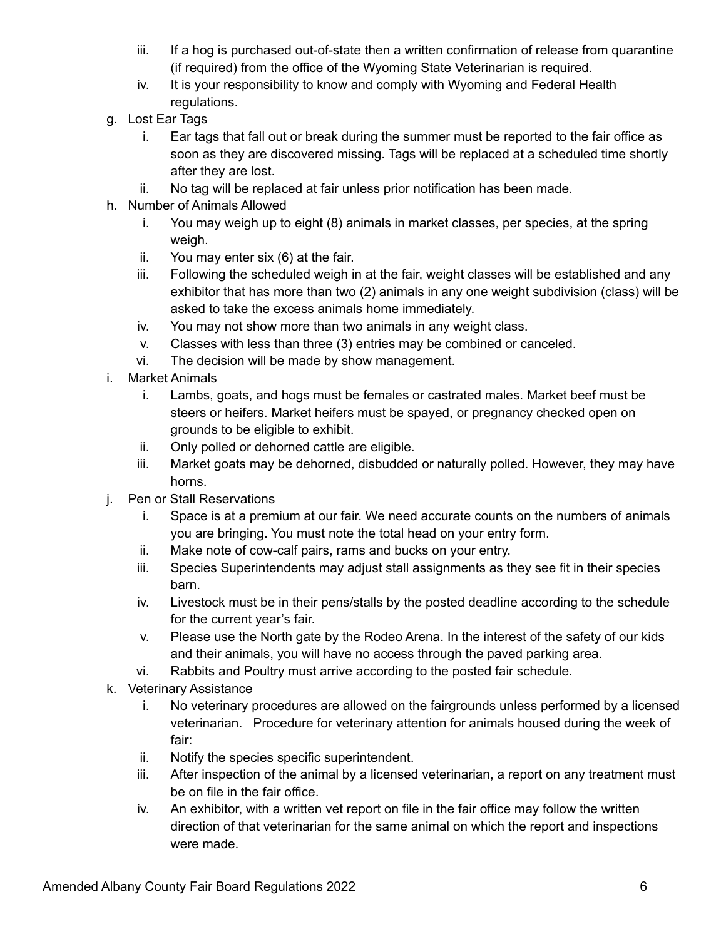- iii. If a hog is purchased out-of-state then a written confirmation of release from quarantine (if required) from the office of the Wyoming State Veterinarian is required.
- iv. It is your responsibility to know and comply with Wyoming and Federal Health regulations.
- g. Lost Ear Tags
	- i. Ear tags that fall out or break during the summer must be reported to the fair office as soon as they are discovered missing. Tags will be replaced at a scheduled time shortly after they are lost.
	- ii. No tag will be replaced at fair unless prior notification has been made.
- h. Number of Animals Allowed
	- i. You may weigh up to eight (8) animals in market classes, per species, at the spring weigh.
	- ii. You may enter six (6) at the fair.
	- iii. Following the scheduled weigh in at the fair, weight classes will be established and any exhibitor that has more than two (2) animals in any one weight subdivision (class) will be asked to take the excess animals home immediately.
	- iv. You may not show more than two animals in any weight class.
	- v. Classes with less than three (3) entries may be combined or canceled.
	- vi. The decision will be made by show management.
- i. Market Animals
	- i. Lambs, goats, and hogs must be females or castrated males. Market beef must be steers or heifers. Market heifers must be spayed, or pregnancy checked open on grounds to be eligible to exhibit.
	- ii. Only polled or dehorned cattle are eligible.
	- iii. Market goats may be dehorned, disbudded or naturally polled. However, they may have horns.
- j. Pen or Stall Reservations
	- i. Space is at a premium at our fair. We need accurate counts on the numbers of animals you are bringing. You must note the total head on your entry form.
	- ii. Make note of cow-calf pairs, rams and bucks on your entry.
	- iii. Species Superintendents may adjust stall assignments as they see fit in their species barn.
	- iv. Livestock must be in their pens/stalls by the posted deadline according to the schedule for the current year's fair.
	- v. Please use the North gate by the Rodeo Arena. In the interest of the safety of our kids and their animals, you will have no access through the paved parking area.
	- vi. Rabbits and Poultry must arrive according to the posted fair schedule.
- k. Veterinary Assistance
	- i. No veterinary procedures are allowed on the fairgrounds unless performed by a licensed veterinarian. Procedure for veterinary attention for animals housed during the week of fair:
	- ii. Notify the species specific superintendent.
	- iii. After inspection of the animal by a licensed veterinarian, a report on any treatment must be on file in the fair office.
	- iv. An exhibitor, with a written vet report on file in the fair office may follow the written direction of that veterinarian for the same animal on which the report and inspections were made.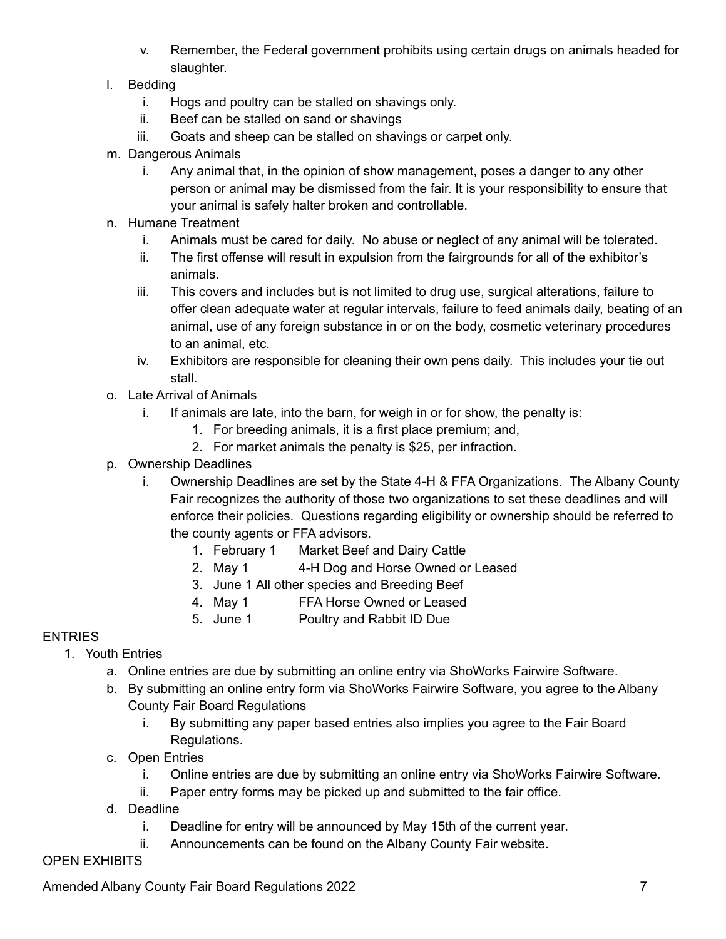- v. Remember, the Federal government prohibits using certain drugs on animals headed for slaughter.
- l. Bedding
	- i. Hogs and poultry can be stalled on shavings only.
	- ii. Beef can be stalled on sand or shavings
	- iii. Goats and sheep can be stalled on shavings or carpet only.
- m. Dangerous Animals
	- i. Any animal that, in the opinion of show management, poses a danger to any other person or animal may be dismissed from the fair. It is your responsibility to ensure that your animal is safely halter broken and controllable.
- n. Humane Treatment
	- i. Animals must be cared for daily. No abuse or neglect of any animal will be tolerated.
	- ii. The first offense will result in expulsion from the fairgrounds for all of the exhibitor's animals.
	- iii. This covers and includes but is not limited to drug use, surgical alterations, failure to offer clean adequate water at regular intervals, failure to feed animals daily, beating of an animal, use of any foreign substance in or on the body, cosmetic veterinary procedures to an animal, etc.
	- iv. Exhibitors are responsible for cleaning their own pens daily. This includes your tie out stall.
- o. Late Arrival of Animals
	- i. If animals are late, into the barn, for weigh in or for show, the penalty is:
		- 1. For breeding animals, it is a first place premium; and,
		- 2. For market animals the penalty is \$25, per infraction.
- p. Ownership Deadlines
	- i. Ownership Deadlines are set by the State 4-H & FFA Organizations. The Albany County Fair recognizes the authority of those two organizations to set these deadlines and will enforce their policies. Questions regarding eligibility or ownership should be referred to the county agents or FFA advisors.
		- 1. February 1 Market Beef and Dairy Cattle
		- 2. May 1 4-H Dog and Horse Owned or Leased
		- 3. June 1 All other species and Breeding Beef
		- 4. May 1 FFA Horse Owned or Leased
		- 5. June 1 Poultry and Rabbit ID Due

## **ENTRIES**

- 1. Youth Entries
	- a. Online entries are due by submitting an online entry via ShoWorks Fairwire Software.
	- b. By submitting an online entry form via ShoWorks Fairwire Software, you agree to the Albany County Fair Board Regulations
		- i. By submitting any paper based entries also implies you agree to the Fair Board Regulations.
	- c. Open Entries
		- i. Online entries are due by submitting an online entry via ShoWorks Fairwire Software.
		- ii. Paper entry forms may be picked up and submitted to the fair office.
	- d. Deadline
		- i. Deadline for entry will be announced by May 15th of the current year.
		- ii. Announcements can be found on the Albany County Fair website.

### OPEN EXHIBITS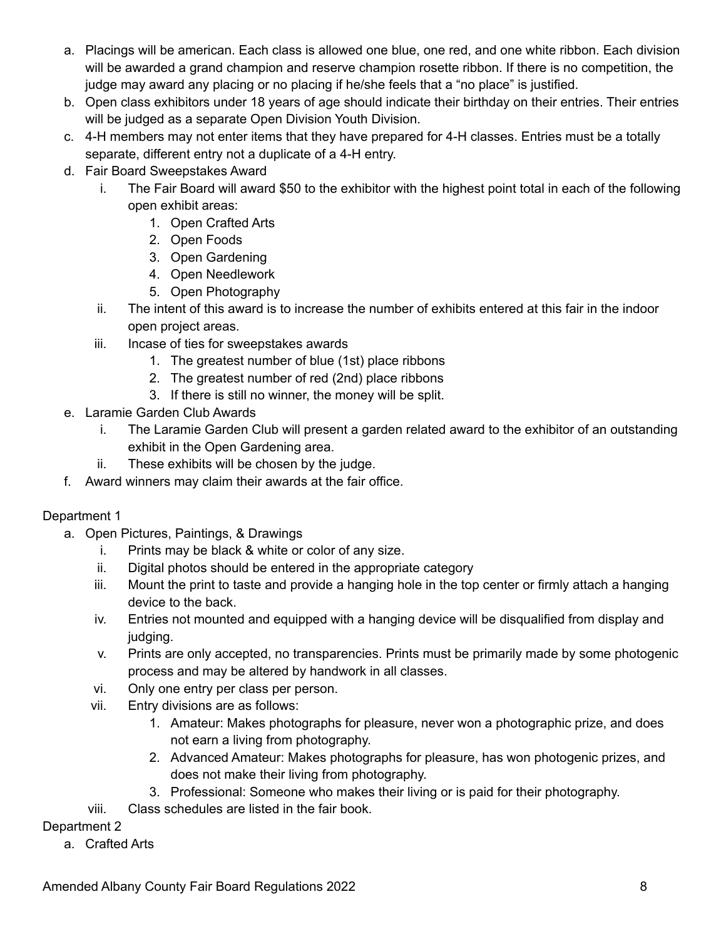- a. Placings will be american. Each class is allowed one blue, one red, and one white ribbon. Each division will be awarded a grand champion and reserve champion rosette ribbon. If there is no competition, the judge may award any placing or no placing if he/she feels that a "no place" is justified.
- b. Open class exhibitors under 18 years of age should indicate their birthday on their entries. Their entries will be judged as a separate Open Division Youth Division.
- c. 4-H members may not enter items that they have prepared for 4-H classes. Entries must be a totally separate, different entry not a duplicate of a 4-H entry.
- d. Fair Board Sweepstakes Award
	- i. The Fair Board will award \$50 to the exhibitor with the highest point total in each of the following open exhibit areas:
		- 1. Open Crafted Arts
		- 2. Open Foods
		- 3. Open Gardening
		- 4. Open Needlework
		- 5. Open Photography
	- ii. The intent of this award is to increase the number of exhibits entered at this fair in the indoor open project areas.
	- iii. Incase of ties for sweepstakes awards
		- 1. The greatest number of blue (1st) place ribbons
		- 2. The greatest number of red (2nd) place ribbons
		- 3. If there is still no winner, the money will be split.
- e. Laramie Garden Club Awards
	- i. The Laramie Garden Club will present a garden related award to the exhibitor of an outstanding exhibit in the Open Gardening area.
	- ii. These exhibits will be chosen by the judge.
- f. Award winners may claim their awards at the fair office.

## Department 1

- a. Open Pictures, Paintings, & Drawings
	- i. Prints may be black & white or color of any size.
	- ii. Digital photos should be entered in the appropriate category
	- iii. Mount the print to taste and provide a hanging hole in the top center or firmly attach a hanging device to the back.
	- iv. Entries not mounted and equipped with a hanging device will be disqualified from display and judging.
	- v. Prints are only accepted, no transparencies. Prints must be primarily made by some photogenic process and may be altered by handwork in all classes.
	- vi. Only one entry per class per person.
	- vii. Entry divisions are as follows:
		- 1. Amateur: Makes photographs for pleasure, never won a photographic prize, and does not earn a living from photography.
		- 2. Advanced Amateur: Makes photographs for pleasure, has won photogenic prizes, and does not make their living from photography.
		- 3. Professional: Someone who makes their living or is paid for their photography.
	- viii. Class schedules are listed in the fair book.

### Department 2

a. Crafted Arts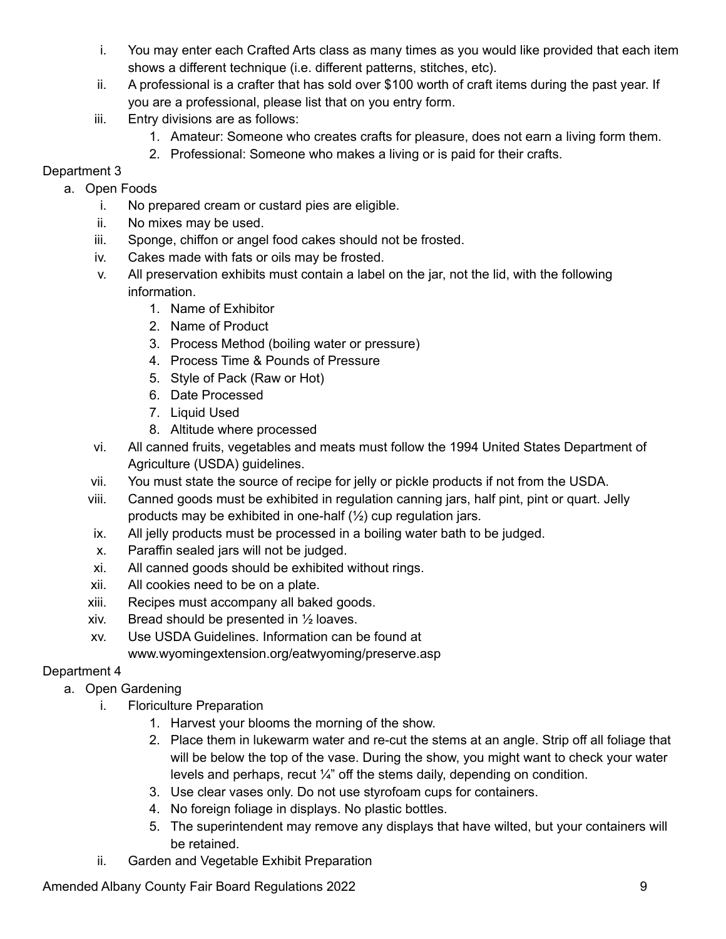- i. You may enter each Crafted Arts class as many times as you would like provided that each item shows a different technique (i.e. different patterns, stitches, etc).
- ii. A professional is a crafter that has sold over \$100 worth of craft items during the past year. If you are a professional, please list that on you entry form.
- iii. Entry divisions are as follows:
	- 1. Amateur: Someone who creates crafts for pleasure, does not earn a living form them.
	- 2. Professional: Someone who makes a living or is paid for their crafts.

# Department 3

## a. Open Foods

- i. No prepared cream or custard pies are eligible.
- ii. No mixes may be used.
- iii. Sponge, chiffon or angel food cakes should not be frosted.
- iv. Cakes made with fats or oils may be frosted.
- v. All preservation exhibits must contain a label on the jar, not the lid, with the following information.
	- 1. Name of Exhibitor
	- 2. Name of Product
	- 3. Process Method (boiling water or pressure)
	- 4. Process Time & Pounds of Pressure
	- 5. Style of Pack (Raw or Hot)
	- 6. Date Processed
	- 7. Liquid Used
	- 8. Altitude where processed
- vi. All canned fruits, vegetables and meats must follow the 1994 United States Department of Agriculture (USDA) guidelines.
- vii. You must state the source of recipe for jelly or pickle products if not from the USDA.
- viii. Canned goods must be exhibited in regulation canning jars, half pint, pint or quart. Jelly products may be exhibited in one-half  $(\frac{1}{2})$  cup regulation jars.
- ix. All jelly products must be processed in a boiling water bath to be judged.
- x. Paraffin sealed jars will not be judged.
- xi. All canned goods should be exhibited without rings.
- xii. All cookies need to be on a plate.
- xiii. Recipes must accompany all baked goods.
- xiv. Bread should be presented in ½ loaves.
- xv. Use USDA Guidelines. Information can be found at www.wyomingextension.org/eatwyoming/preserve.asp

# Department 4

- a. Open Gardening
	- i. Floriculture Preparation
		- 1. Harvest your blooms the morning of the show.
		- 2. Place them in lukewarm water and re-cut the stems at an angle. Strip off all foliage that will be below the top of the vase. During the show, you might want to check your water levels and perhaps, recut ¼" off the stems daily, depending on condition.
		- 3. Use clear vases only. Do not use styrofoam cups for containers.
		- 4. No foreign foliage in displays. No plastic bottles.
		- 5. The superintendent may remove any displays that have wilted, but your containers will be retained.
	- ii. Garden and Vegetable Exhibit Preparation

Amended Albany County Fair Board Regulations 2022 **Parameters** 2022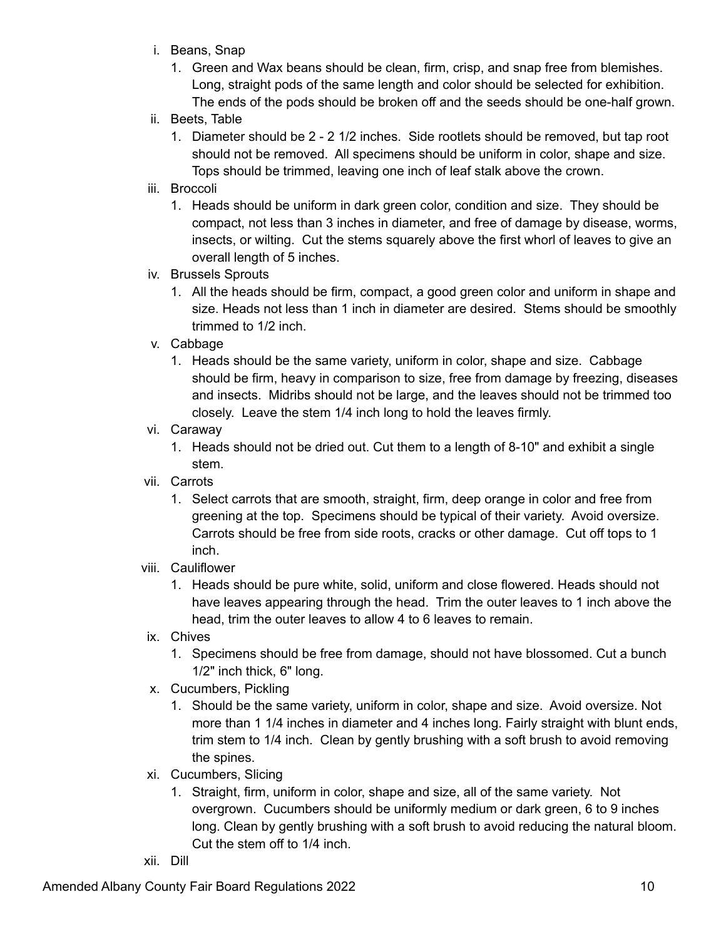- i. Beans, Snap
	- 1. Green and Wax beans should be clean, firm, crisp, and snap free from blemishes. Long, straight pods of the same length and color should be selected for exhibition. The ends of the pods should be broken off and the seeds should be one-half grown.
- ii. Beets, Table
	- 1. Diameter should be 2 2 1/2 inches. Side rootlets should be removed, but tap root should not be removed. All specimens should be uniform in color, shape and size. Tops should be trimmed, leaving one inch of leaf stalk above the crown.
- iii. Broccoli
	- 1. Heads should be uniform in dark green color, condition and size. They should be compact, not less than 3 inches in diameter, and free of damage by disease, worms, insects, or wilting. Cut the stems squarely above the first whorl of leaves to give an overall length of 5 inches.
- iv. Brussels Sprouts
	- 1. All the heads should be firm, compact, a good green color and uniform in shape and size. Heads not less than 1 inch in diameter are desired. Stems should be smoothly trimmed to 1/2 inch.
- v. Cabbage
	- 1. Heads should be the same variety, uniform in color, shape and size. Cabbage should be firm, heavy in comparison to size, free from damage by freezing, diseases and insects. Midribs should not be large, and the leaves should not be trimmed too closely. Leave the stem 1/4 inch long to hold the leaves firmly.
- vi. Caraway
	- 1. Heads should not be dried out. Cut them to a length of 8-10" and exhibit a single stem.
- vii. Carrots
	- 1. Select carrots that are smooth, straight, firm, deep orange in color and free from greening at the top. Specimens should be typical of their variety. Avoid oversize. Carrots should be free from side roots, cracks or other damage. Cut off tops to 1 inch.
- viii. Cauliflower
	- 1. Heads should be pure white, solid, uniform and close flowered. Heads should not have leaves appearing through the head. Trim the outer leaves to 1 inch above the head, trim the outer leaves to allow 4 to 6 leaves to remain.
- ix. Chives
	- 1. Specimens should be free from damage, should not have blossomed. Cut a bunch 1/2" inch thick, 6" long.
- x. Cucumbers, Pickling
	- 1. Should be the same variety, uniform in color, shape and size. Avoid oversize. Not more than 1 1/4 inches in diameter and 4 inches long. Fairly straight with blunt ends, trim stem to 1/4 inch. Clean by gently brushing with a soft brush to avoid removing the spines.
- xi. Cucumbers, Slicing
	- 1. Straight, firm, uniform in color, shape and size, all of the same variety. Not overgrown. Cucumbers should be uniformly medium or dark green, 6 to 9 inches long. Clean by gently brushing with a soft brush to avoid reducing the natural bloom. Cut the stem off to 1/4 inch.
- xii. Dill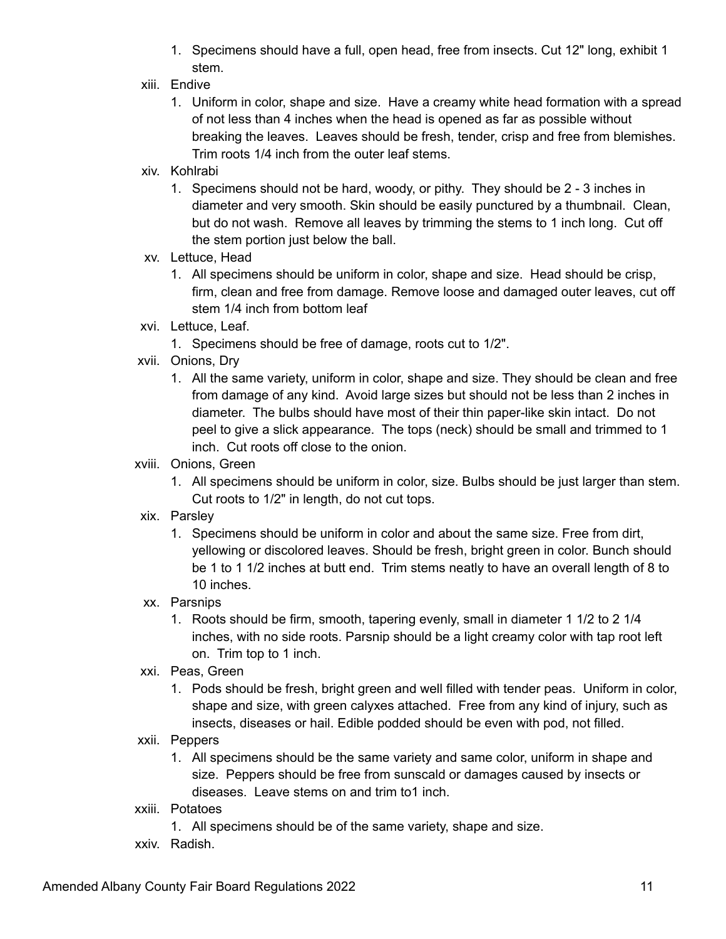- 1. Specimens should have a full, open head, free from insects. Cut 12" long, exhibit 1 stem.
- xiii. Endive
	- 1. Uniform in color, shape and size. Have a creamy white head formation with a spread of not less than 4 inches when the head is opened as far as possible without breaking the leaves. Leaves should be fresh, tender, crisp and free from blemishes. Trim roots 1/4 inch from the outer leaf stems.
- xiv. Kohlrabi
	- 1. Specimens should not be hard, woody, or pithy. They should be 2 3 inches in diameter and very smooth. Skin should be easily punctured by a thumbnail. Clean, but do not wash. Remove all leaves by trimming the stems to 1 inch long. Cut off the stem portion just below the ball.
- xv. Lettuce, Head
	- 1. All specimens should be uniform in color, shape and size. Head should be crisp, firm, clean and free from damage. Remove loose and damaged outer leaves, cut off stem 1/4 inch from bottom leaf
- xvi. Lettuce, Leaf.
	- 1. Specimens should be free of damage, roots cut to 1/2".
- xvii. Onions, Dry
	- 1. All the same variety, uniform in color, shape and size. They should be clean and free from damage of any kind. Avoid large sizes but should not be less than 2 inches in diameter. The bulbs should have most of their thin paper-like skin intact. Do not peel to give a slick appearance. The tops (neck) should be small and trimmed to 1 inch. Cut roots off close to the onion.
- xviii. Onions, Green
	- 1. All specimens should be uniform in color, size. Bulbs should be just larger than stem. Cut roots to 1/2" in length, do not cut tops.
- xix. Parsley
	- 1. Specimens should be uniform in color and about the same size. Free from dirt, yellowing or discolored leaves. Should be fresh, bright green in color. Bunch should be 1 to 1 1/2 inches at butt end. Trim stems neatly to have an overall length of 8 to 10 inches.
- xx. Parsnips
	- 1. Roots should be firm, smooth, tapering evenly, small in diameter 1 1/2 to 2 1/4 inches, with no side roots. Parsnip should be a light creamy color with tap root left on. Trim top to 1 inch.
- xxi. Peas, Green
	- 1. Pods should be fresh, bright green and well filled with tender peas. Uniform in color, shape and size, with green calyxes attached. Free from any kind of injury, such as insects, diseases or hail. Edible podded should be even with pod, not filled.
- xxii. Peppers
	- 1. All specimens should be the same variety and same color, uniform in shape and size. Peppers should be free from sunscald or damages caused by insects or diseases. Leave stems on and trim to1 inch.
- xxiii. Potatoes
	- 1. All specimens should be of the same variety, shape and size.
- xxiv. Radish.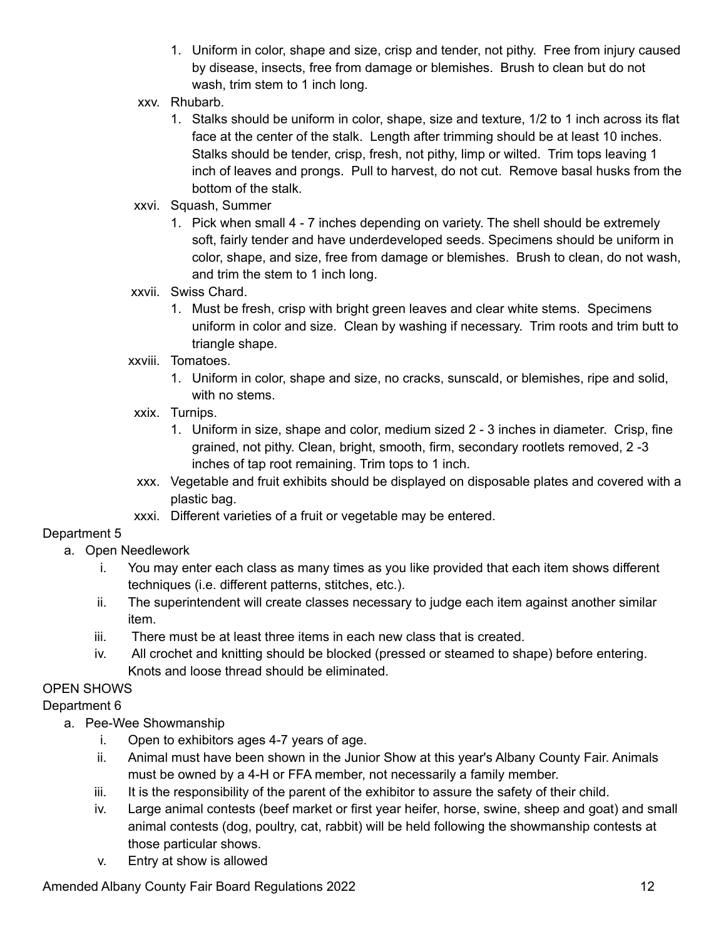- 1. Uniform in color, shape and size, crisp and tender, not pithy. Free from injury caused by disease, insects, free from damage or blemishes. Brush to clean but do not wash, trim stem to 1 inch long.
- xxv. Rhubarb.
	- 1. Stalks should be uniform in color, shape, size and texture, 1/2 to 1 inch across its flat face at the center of the stalk. Length after trimming should be at least 10 inches. Stalks should be tender, crisp, fresh, not pithy, limp or wilted. Trim tops leaving 1 inch of leaves and prongs. Pull to harvest, do not cut. Remove basal husks from the bottom of the stalk.
- xxvi. Squash, Summer
	- 1. Pick when small 4 7 inches depending on variety. The shell should be extremely soft, fairly tender and have underdeveloped seeds. Specimens should be uniform in color, shape, and size, free from damage or blemishes. Brush to clean, do not wash, and trim the stem to 1 inch long.
- xxvii. Swiss Chard.
	- 1. Must be fresh, crisp with bright green leaves and clear white stems. Specimens uniform in color and size. Clean by washing if necessary. Trim roots and trim butt to triangle shape.
- xxviii. Tomatoes.
	- 1. Uniform in color, shape and size, no cracks, sunscald, or blemishes, ripe and solid, with no stems.
- xxix. Turnips.
	- 1. Uniform in size, shape and color, medium sized 2 3 inches in diameter. Crisp, fine grained, not pithy. Clean, bright, smooth, firm, secondary rootlets removed, 2 -3 inches of tap root remaining. Trim tops to 1 inch.
- xxx. Vegetable and fruit exhibits should be displayed on disposable plates and covered with a plastic bag.
- xxxi. Different varieties of a fruit or vegetable may be entered.

### Department 5

- a. Open Needlework
	- i. You may enter each class as many times as you like provided that each item shows different techniques (i.e. different patterns, stitches, etc.).
	- ii. The superintendent will create classes necessary to judge each item against another similar item.
	- iii. There must be at least three items in each new class that is created.
	- iv. All crochet and knitting should be blocked (pressed or steamed to shape) before entering. Knots and loose thread should be eliminated.

## OPEN SHOWS

### Department 6

- a. Pee-Wee Showmanship
	- i. Open to exhibitors ages 4-7 years of age.
	- ii. Animal must have been shown in the Junior Show at this year's Albany County Fair. Animals must be owned by a 4-H or FFA member, not necessarily a family member.
	- iii. It is the responsibility of the parent of the exhibitor to assure the safety of their child.
	- iv. Large animal contests (beef market or first year heifer, horse, swine, sheep and goat) and small animal contests (dog, poultry, cat, rabbit) will be held following the showmanship contests at those particular shows.
	- v. Entry at show is allowed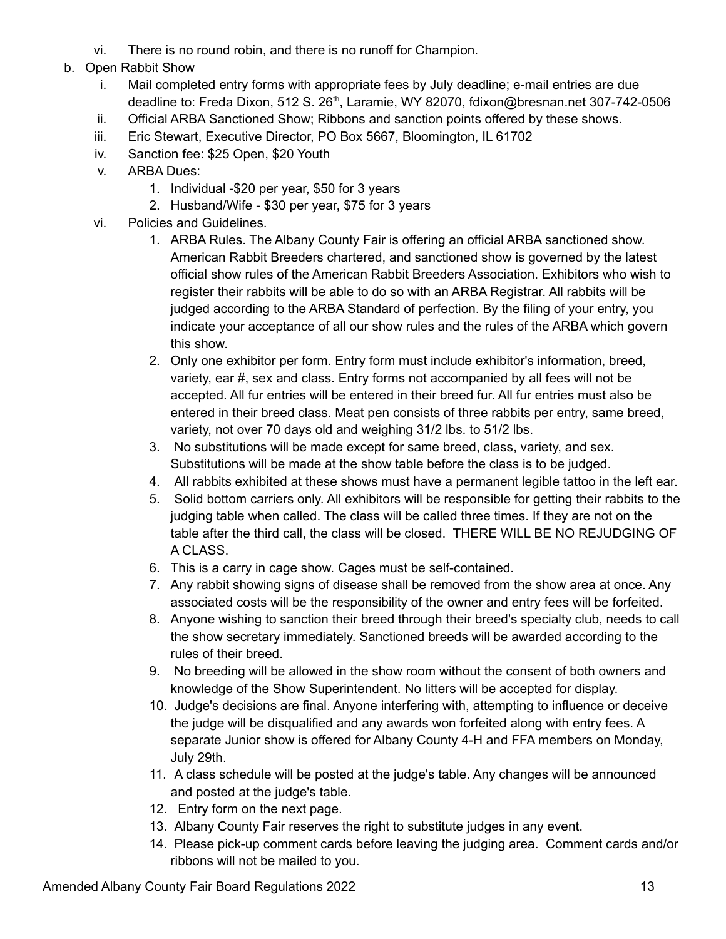- vi. There is no round robin, and there is no runoff for Champion.
- b. Open Rabbit Show
	- i. Mail completed entry forms with appropriate fees by July deadline; e-mail entries are due deadline to: Freda Dixon, 512 S. 26<sup>th</sup>, Laramie, WY 82070, fdixon@bresnan.net 307-742-0506
	- ii. Official ARBA Sanctioned Show; Ribbons and sanction points offered by these shows.
	- iii. Eric Stewart, Executive Director, PO Box 5667, Bloomington, IL 61702
	- iv. Sanction fee: \$25 Open, \$20 Youth
	- v. ARBA Dues:
		- 1. Individual -\$20 per year, \$50 for 3 years
		- 2. Husband/Wife \$30 per year, \$75 for 3 years
	- vi. Policies and Guidelines.
		- 1. ARBA Rules. The Albany County Fair is offering an official ARBA sanctioned show. American Rabbit Breeders chartered, and sanctioned show is governed by the latest official show rules of the American Rabbit Breeders Association. Exhibitors who wish to register their rabbits will be able to do so with an ARBA Registrar. All rabbits will be judged according to the ARBA Standard of perfection. By the filing of your entry, you indicate your acceptance of all our show rules and the rules of the ARBA which govern this show.
		- 2. Only one exhibitor per form. Entry form must include exhibitor's information, breed, variety, ear #, sex and class. Entry forms not accompanied by all fees will not be accepted. All fur entries will be entered in their breed fur. All fur entries must also be entered in their breed class. Meat pen consists of three rabbits per entry, same breed, variety, not over 70 days old and weighing 31/2 lbs. to 51/2 lbs.
		- 3. No substitutions will be made except for same breed, class, variety, and sex. Substitutions will be made at the show table before the class is to be judged.
		- 4. All rabbits exhibited at these shows must have a permanent legible tattoo in the left ear.
		- 5. Solid bottom carriers only. All exhibitors will be responsible for getting their rabbits to the judging table when called. The class will be called three times. If they are not on the table after the third call, the class will be closed. THERE WILL BE NO REJUDGING OF A CLASS.
		- 6. This is a carry in cage show. Cages must be self-contained.
		- 7. Any rabbit showing signs of disease shall be removed from the show area at once. Any associated costs will be the responsibility of the owner and entry fees will be forfeited.
		- 8. Anyone wishing to sanction their breed through their breed's specialty club, needs to call the show secretary immediately. Sanctioned breeds will be awarded according to the rules of their breed.
		- 9. No breeding will be allowed in the show room without the consent of both owners and knowledge of the Show Superintendent. No litters will be accepted for display.
		- 10. Judge's decisions are final. Anyone interfering with, attempting to influence or deceive the judge will be disqualified and any awards won forfeited along with entry fees. A separate Junior show is offered for Albany County 4-H and FFA members on Monday, July 29th.
		- 11. A class schedule will be posted at the judge's table. Any changes will be announced and posted at the judge's table.
		- 12. Entry form on the next page.
		- 13. Albany County Fair reserves the right to substitute judges in any event.
		- 14. Please pick-up comment cards before leaving the judging area. Comment cards and/or ribbons will not be mailed to you.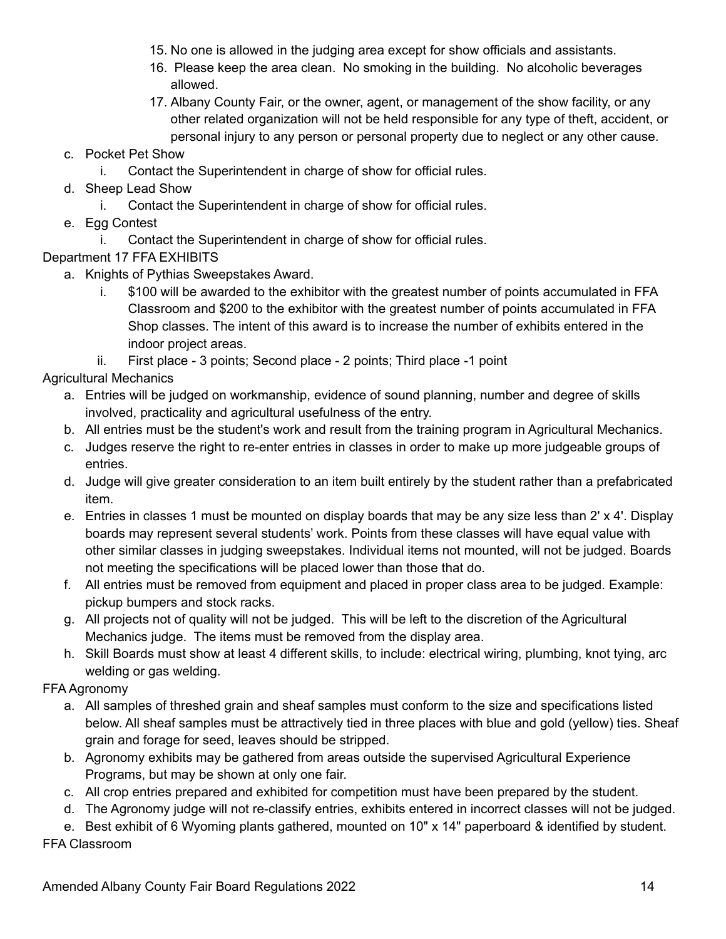- 15. No one is allowed in the judging area except for show officials and assistants.
- 16. Please keep the area clean. No smoking in the building. No alcoholic beverages allowed.
- 17. Albany County Fair, or the owner, agent, or management of the show facility, or any other related organization will not be held responsible for any type of theft, accident, or personal injury to any person or personal property due to neglect or any other cause.
- c. Pocket Pet Show
	- i. Contact the Superintendent in charge of show for official rules.
- d. Sheep Lead Show
	- i. Contact the Superintendent in charge of show for official rules.
- e. Egg Contest
	- i. Contact the Superintendent in charge of show for official rules.
- Department 17 FFA EXHIBITS
	- a. Knights of Pythias Sweepstakes Award.
		- i. \$100 will be awarded to the exhibitor with the greatest number of points accumulated in FFA Classroom and \$200 to the exhibitor with the greatest number of points accumulated in FFA Shop classes. The intent of this award is to increase the number of exhibits entered in the indoor project areas.

ii. First place - 3 points; Second place - 2 points; Third place -1 point Agricultural Mechanics

- a. Entries will be judged on workmanship, evidence of sound planning, number and degree of skills involved, practicality and agricultural usefulness of the entry.
- b. All entries must be the student's work and result from the training program in Agricultural Mechanics.
- c. Judges reserve the right to re-enter entries in classes in order to make up more judgeable groups of entries.
- d. Judge will give greater consideration to an item built entirely by the student rather than a prefabricated item.
- e. Entries in classes 1 must be mounted on display boards that may be any size less than 2' x 4'. Display boards may represent several students' work. Points from these classes will have equal value with other similar classes in judging sweepstakes. Individual items not mounted, will not be judged. Boards not meeting the specifications will be placed lower than those that do.
- f. All entries must be removed from equipment and placed in proper class area to be judged. Example: pickup bumpers and stock racks.
- g. All projects not of quality will not be judged. This will be left to the discretion of the Agricultural Mechanics judge. The items must be removed from the display area.
- h. Skill Boards must show at least 4 different skills, to include: electrical wiring, plumbing, knot tying, arc welding or gas welding.

# FFA Agronomy

- a. All samples of threshed grain and sheaf samples must conform to the size and specifications listed below. All sheaf samples must be attractively tied in three places with blue and gold (yellow) ties. Sheaf grain and forage for seed, leaves should be stripped.
- b. Agronomy exhibits may be gathered from areas outside the supervised Agricultural Experience Programs, but may be shown at only one fair.
- c. All crop entries prepared and exhibited for competition must have been prepared by the student.
- d. The Agronomy judge will not re-classify entries, exhibits entered in incorrect classes will not be judged.

e. Best exhibit of 6 Wyoming plants gathered, mounted on 10" x 14" paperboard & identified by student. FFA Classroom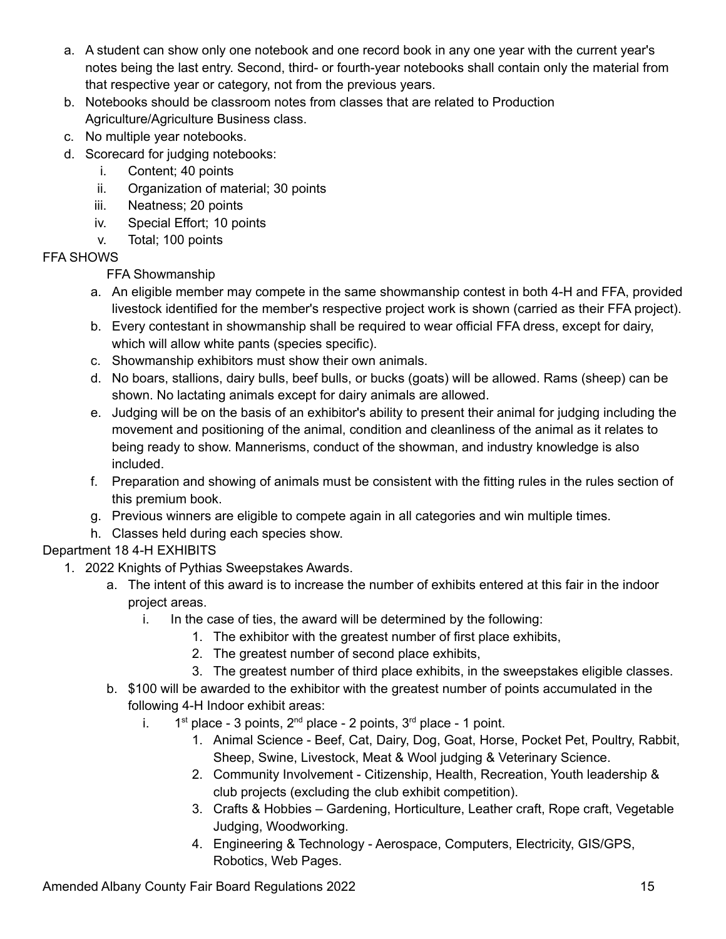- a. A student can show only one notebook and one record book in any one year with the current year's notes being the last entry. Second, third- or fourth-year notebooks shall contain only the material from that respective year or category, not from the previous years.
- b. Notebooks should be classroom notes from classes that are related to Production Agriculture/Agriculture Business class.
- c. No multiple year notebooks.
- d. Scorecard for judging notebooks:
	- i. Content; 40 points
	- ii. Organization of material; 30 points
	- iii. Neatness; 20 points
	- iv. Special Effort; 10 points
	- v. Total; 100 points

# FFA SHOWS

# FFA Showmanship

- a. An eligible member may compete in the same showmanship contest in both 4-H and FFA, provided livestock identified for the member's respective project work is shown (carried as their FFA project).
- b. Every contestant in showmanship shall be required to wear official FFA dress, except for dairy, which will allow white pants (species specific).
- c. Showmanship exhibitors must show their own animals.
- d. No boars, stallions, dairy bulls, beef bulls, or bucks (goats) will be allowed. Rams (sheep) can be shown. No lactating animals except for dairy animals are allowed.
- e. Judging will be on the basis of an exhibitor's ability to present their animal for judging including the movement and positioning of the animal, condition and cleanliness of the animal as it relates to being ready to show. Mannerisms, conduct of the showman, and industry knowledge is also included.
- f. Preparation and showing of animals must be consistent with the fitting rules in the rules section of this premium book.
- g. Previous winners are eligible to compete again in all categories and win multiple times.
- h. Classes held during each species show.

# Department 18 4-H EXHIBITS

- 1. 2022 Knights of Pythias Sweepstakes Awards.
	- a. The intent of this award is to increase the number of exhibits entered at this fair in the indoor project areas.
		- i. In the case of ties, the award will be determined by the following:
			- 1. The exhibitor with the greatest number of first place exhibits,
			- 2. The greatest number of second place exhibits,
			- 3. The greatest number of third place exhibits, in the sweepstakes eligible classes.
	- b. \$100 will be awarded to the exhibitor with the greatest number of points accumulated in the following 4-H Indoor exhibit areas:
		- i.  $1<sup>st</sup>$  place 3 points,  $2<sup>nd</sup>$  place 2 points,  $3<sup>rd</sup>$  place 1 point.
			- 1. Animal Science Beef, Cat, Dairy, Dog, Goat, Horse, Pocket Pet, Poultry, Rabbit, Sheep, Swine, Livestock, Meat & Wool judging & Veterinary Science.
			- 2. Community Involvement Citizenship, Health, Recreation, Youth leadership & club projects (excluding the club exhibit competition).
			- 3. Crafts & Hobbies Gardening, Horticulture, Leather craft, Rope craft, Vegetable Judging, Woodworking.
			- 4. Engineering & Technology Aerospace, Computers, Electricity, GIS/GPS, Robotics, Web Pages.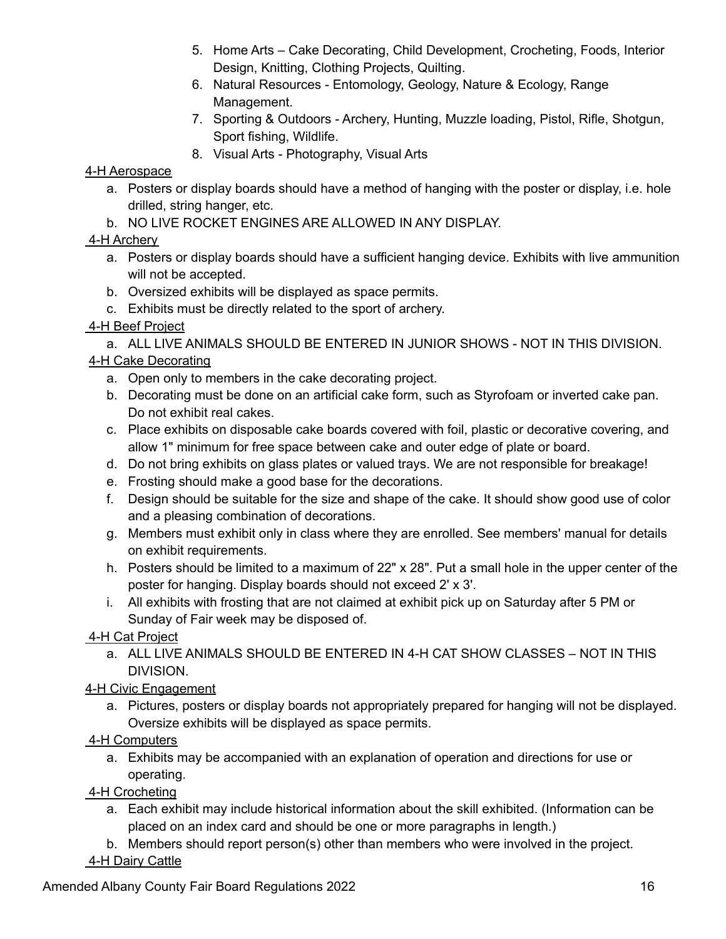- 5. Home Arts Cake Decorating, Child Development, Crocheting, Foods, Interior Design, Knitting, Clothing Projects, Quilting.
- 6. Natural Resources Entomology, Geology, Nature & Ecology, Range Management.
- 7. Sporting & Outdoors Archery, Hunting, Muzzle loading, Pistol, Rifle, Shotgun, Sport fishing, Wildlife.
- 8. Visual Arts Photography, Visual Arts

### 4-H Aerospace

- a. Posters or display boards should have a method of hanging with the poster or display, i.e. hole drilled, string hanger, etc.
- b. NO LIVE ROCKET ENGINES ARE ALLOWED IN ANY DISPLAY.

## 4-H Archery

- a. Posters or display boards should have a sufficient hanging device. Exhibits with live ammunition will not be accepted.
- b. Oversized exhibits will be displayed as space permits.
- c. Exhibits must be directly related to the sport of archery.

## 4-H Beef Project

a. ALL LIVE ANIMALS SHOULD BE ENTERED IN JUNIOR SHOWS - NOT IN THIS DIVISION. 4-H Cake Decorating

- a. Open only to members in the cake decorating project.
- b. Decorating must be done on an artificial cake form, such as Styrofoam or inverted cake pan. Do not exhibit real cakes.
- c. Place exhibits on disposable cake boards covered with foil, plastic or decorative covering, and allow 1" minimum for free space between cake and outer edge of plate or board.
- d. Do not bring exhibits on glass plates or valued trays. We are not responsible for breakage!
- e. Frosting should make a good base for the decorations.
- f. Design should be suitable for the size and shape of the cake. It should show good use of color and a pleasing combination of decorations.
- g. Members must exhibit only in class where they are enrolled. See members' manual for details on exhibit requirements.
- h. Posters should be limited to a maximum of 22" x 28". Put a small hole in the upper center of the poster for hanging. Display boards should not exceed 2' x 3'.
- i. All exhibits with frosting that are not claimed at exhibit pick up on Saturday after 5 PM or Sunday of Fair week may be disposed of.

4-H Cat Project

a. ALL LIVE ANIMALS SHOULD BE ENTERED IN 4-H CAT SHOW CLASSES – NOT IN THIS DIVISION.

# 4-H Civic Engagement

a. Pictures, posters or display boards not appropriately prepared for hanging will not be displayed. Oversize exhibits will be displayed as space permits.

# 4-H Computers

a. Exhibits may be accompanied with an explanation of operation and directions for use or operating.

# 4-H Crocheting

- a. Each exhibit may include historical information about the skill exhibited. (Information can be placed on an index card and should be one or more paragraphs in length.)
- b. Members should report person(s) other than members who were involved in the project.
- 4-H Dairy Cattle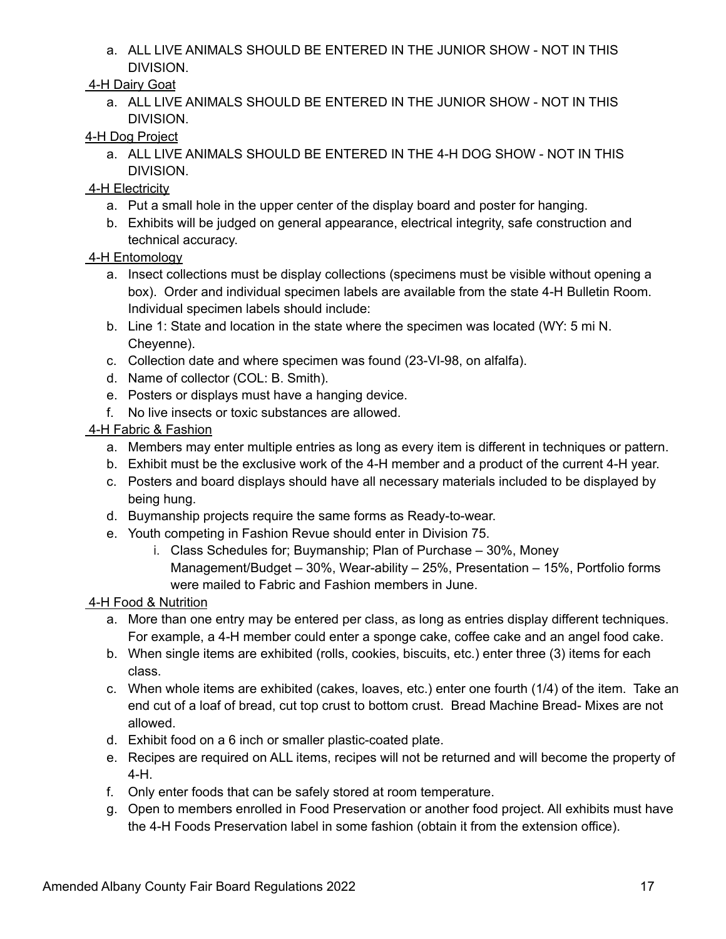a. ALL LIVE ANIMALS SHOULD BE ENTERED IN THE JUNIOR SHOW - NOT IN THIS DIVISION.

### 4-H Dairy Goat

a. ALL LIVE ANIMALS SHOULD BE ENTERED IN THE JUNIOR SHOW - NOT IN THIS DIVISION.

### 4-H Dog Project

a. ALL LIVE ANIMALS SHOULD BE ENTERED IN THE 4-H DOG SHOW - NOT IN THIS DIVISION.

### 4-H Electricity

- a. Put a small hole in the upper center of the display board and poster for hanging.
- b. Exhibits will be judged on general appearance, electrical integrity, safe construction and technical accuracy.

### 4-H Entomology

- a. Insect collections must be display collections (specimens must be visible without opening a box). Order and individual specimen labels are available from the state 4-H Bulletin Room. Individual specimen labels should include:
- b. Line 1: State and location in the state where the specimen was located (WY: 5 mi N. Cheyenne).
- c. Collection date and where specimen was found (23-VI-98, on alfalfa).
- d. Name of collector (COL: B. Smith).
- e. Posters or displays must have a hanging device.
- f. No live insects or toxic substances are allowed.

### 4-H Fabric & Fashion

- a. Members may enter multiple entries as long as every item is different in techniques or pattern.
- b. Exhibit must be the exclusive work of the 4-H member and a product of the current 4-H year.
- c. Posters and board displays should have all necessary materials included to be displayed by being hung.
- d. Buymanship projects require the same forms as Ready-to-wear.
- e. Youth competing in Fashion Revue should enter in Division 75.
	- i. Class Schedules for; Buymanship; Plan of Purchase 30%, Money Management/Budget – 30%, Wear-ability – 25%, Presentation – 15%, Portfolio forms were mailed to Fabric and Fashion members in June.

## 4-H Food & Nutrition

- a. More than one entry may be entered per class, as long as entries display different techniques. For example, a 4-H member could enter a sponge cake, coffee cake and an angel food cake.
- b. When single items are exhibited (rolls, cookies, biscuits, etc.) enter three (3) items for each class.
- c. When whole items are exhibited (cakes, loaves, etc.) enter one fourth (1/4) of the item. Take an end cut of a loaf of bread, cut top crust to bottom crust. Bread Machine Bread- Mixes are not allowed.
- d. Exhibit food on a 6 inch or smaller plastic-coated plate.
- e. Recipes are required on ALL items, recipes will not be returned and will become the property of 4-H.
- f. Only enter foods that can be safely stored at room temperature.
- g. Open to members enrolled in Food Preservation or another food project. All exhibits must have the 4-H Foods Preservation label in some fashion (obtain it from the extension office).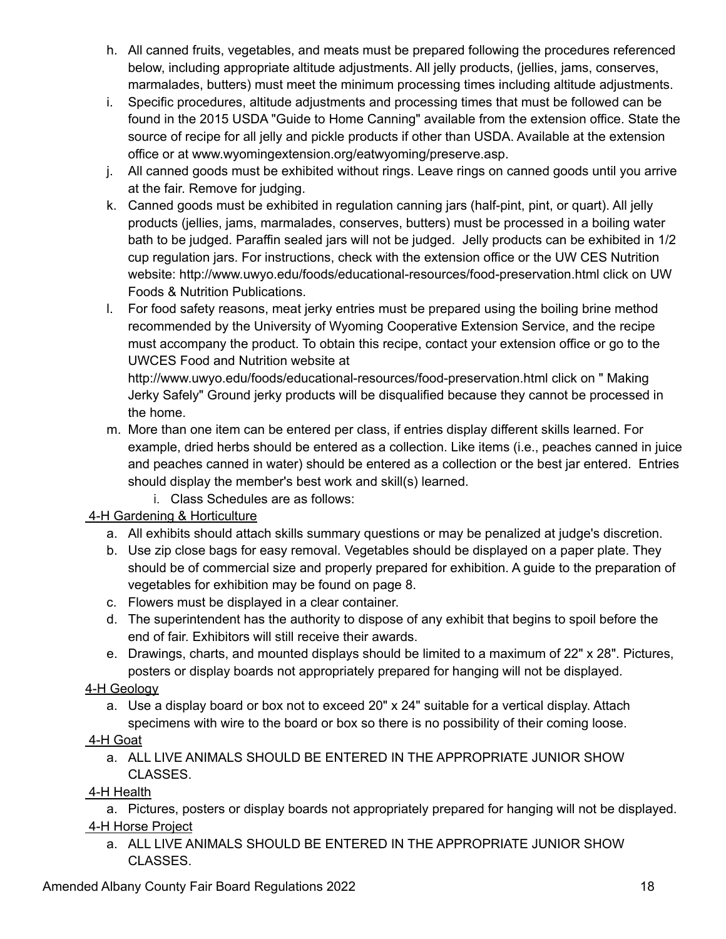- h. All canned fruits, vegetables, and meats must be prepared following the procedures referenced below, including appropriate altitude adjustments. All jelly products, (jellies, jams, conserves, marmalades, butters) must meet the minimum processing times including altitude adjustments.
- i. Specific procedures, altitude adjustments and processing times that must be followed can be found in the 2015 USDA "Guide to Home Canning" available from the extension office. State the source of recipe for all jelly and pickle products if other than USDA. Available at the extension office or at www.wyomingextension.org/eatwyoming/preserve.asp.
- j. All canned goods must be exhibited without rings. Leave rings on canned goods until you arrive at the fair. Remove for judging.
- k. Canned goods must be exhibited in regulation canning jars (half-pint, pint, or quart). All jelly products (jellies, jams, marmalades, conserves, butters) must be processed in a boiling water bath to be judged. Paraffin sealed jars will not be judged. Jelly products can be exhibited in 1/2 cup regulation jars. For instructions, check with the extension office or the UW CES Nutrition website: http://www.uwyo.edu/foods/educational-resources/food-preservation.html click on UW Foods & Nutrition Publications.
- l. For food safety reasons, meat jerky entries must be prepared using the boiling brine method recommended by the University of Wyoming Cooperative Extension Service, and the recipe must accompany the product. To obtain this recipe, contact your extension office or go to the UWCES Food and Nutrition website at

http://www.uwyo.edu/foods/educational-resources/food-preservation.html click on " Making Jerky Safely" Ground jerky products will be disqualified because they cannot be processed in the home.

- m. More than one item can be entered per class, if entries display different skills learned. For example, dried herbs should be entered as a collection. Like items (i.e., peaches canned in juice and peaches canned in water) should be entered as a collection or the best jar entered. Entries should display the member's best work and skill(s) learned.
	- i. Class Schedules are as follows:

4-H Gardening & Horticulture

- a. All exhibits should attach skills summary questions or may be penalized at judge's discretion.
- b. Use zip close bags for easy removal. Vegetables should be displayed on a paper plate. They should be of commercial size and properly prepared for exhibition. A guide to the preparation of vegetables for exhibition may be found on page 8.
- c. Flowers must be displayed in a clear container.
- d. The superintendent has the authority to dispose of any exhibit that begins to spoil before the end of fair. Exhibitors will still receive their awards.
- e. Drawings, charts, and mounted displays should be limited to a maximum of 22" x 28". Pictures, posters or display boards not appropriately prepared for hanging will not be displayed.

# 4-H Geology

a. Use a display board or box not to exceed 20" x 24" suitable for a vertical display. Attach specimens with wire to the board or box so there is no possibility of their coming loose.

# 4-H Goat

a. ALL LIVE ANIMALS SHOULD BE ENTERED IN THE APPROPRIATE JUNIOR SHOW CLASSES.

# 4-H Health

a. Pictures, posters or display boards not appropriately prepared for hanging will not be displayed. 4-H Horse Project

a. ALL LIVE ANIMALS SHOULD BE ENTERED IN THE APPROPRIATE JUNIOR SHOW CLASSES.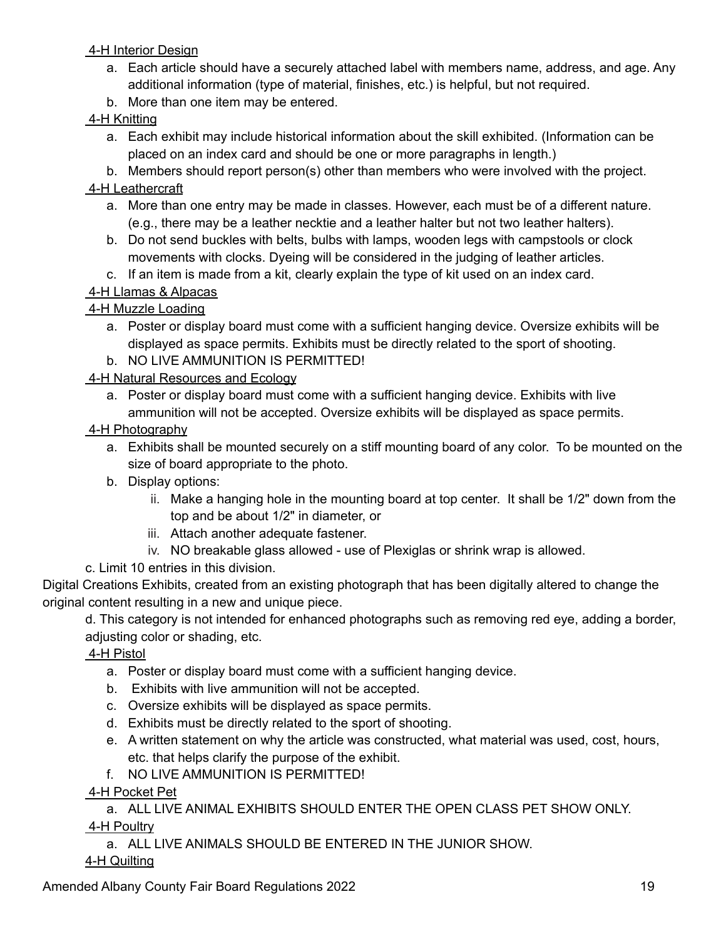### 4-H Interior Design

- a. Each article should have a securely attached label with members name, address, and age. Any additional information (type of material, finishes, etc.) is helpful, but not required.
- b. More than one item may be entered.

## 4-H Knitting

a. Each exhibit may include historical information about the skill exhibited. (Information can be placed on an index card and should be one or more paragraphs in length.)

b. Members should report person(s) other than members who were involved with the project.

## 4-H Leathercraft

- a. More than one entry may be made in classes. However, each must be of a different nature. (e.g., there may be a leather necktie and a leather halter but not two leather halters).
- b. Do not send buckles with belts, bulbs with lamps, wooden legs with campstools or clock movements with clocks. Dyeing will be considered in the judging of leather articles.
- c. If an item is made from a kit, clearly explain the type of kit used on an index card.

# 4-H Llamas & Alpacas

## 4-H Muzzle Loading

- a. Poster or display board must come with a sufficient hanging device. Oversize exhibits will be displayed as space permits. Exhibits must be directly related to the sport of shooting.
- b. NO LIVE AMMUNITION IS PERMITTED!

## 4-H Natural Resources and Ecology

a. Poster or display board must come with a sufficient hanging device. Exhibits with live ammunition will not be accepted. Oversize exhibits will be displayed as space permits.

## 4-H Photography

- a. Exhibits shall be mounted securely on a stiff mounting board of any color. To be mounted on the size of board appropriate to the photo.
- b. Display options:
	- ii. Make a hanging hole in the mounting board at top center. It shall be 1/2" down from the top and be about 1/2" in diameter, or
	- iii. Attach another adequate fastener.
	- iv. NO breakable glass allowed use of Plexiglas or shrink wrap is allowed.

# c. Limit 10 entries in this division.

Digital Creations Exhibits, created from an existing photograph that has been digitally altered to change the original content resulting in a new and unique piece.

d. This category is not intended for enhanced photographs such as removing red eye, adding a border, adjusting color or shading, etc.

## 4-H Pistol

- a. Poster or display board must come with a sufficient hanging device.
- b. Exhibits with live ammunition will not be accepted.
- c. Oversize exhibits will be displayed as space permits.
- d. Exhibits must be directly related to the sport of shooting.
- e. A written statement on why the article was constructed, what material was used, cost, hours, etc. that helps clarify the purpose of the exhibit.
- f. NO LIVE AMMUNITION IS PERMITTED!

# 4-H Pocket Pet

a. ALL LIVE ANIMAL EXHIBITS SHOULD ENTER THE OPEN CLASS PET SHOW ONLY. 4-H Poultry

a. ALL LIVE ANIMALS SHOULD BE ENTERED IN THE JUNIOR SHOW.

## 4-H Quilting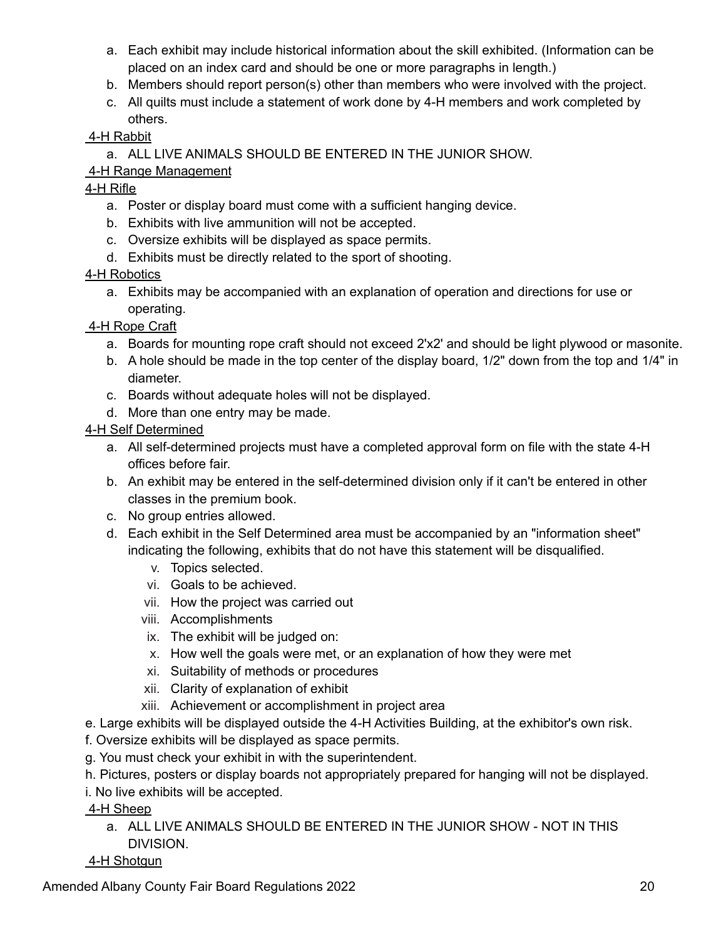- a. Each exhibit may include historical information about the skill exhibited. (Information can be placed on an index card and should be one or more paragraphs in length.)
- b. Members should report person(s) other than members who were involved with the project.
- c. All quilts must include a statement of work done by 4-H members and work completed by others.

### 4-H Rabbit

a. ALL LIVE ANIMALS SHOULD BE ENTERED IN THE JUNIOR SHOW.

### 4-H Range Management

### 4-H Rifle

- a. Poster or display board must come with a sufficient hanging device.
- b. Exhibits with live ammunition will not be accepted.
- c. Oversize exhibits will be displayed as space permits.
- d. Exhibits must be directly related to the sport of shooting.

### 4-H Robotics

a. Exhibits may be accompanied with an explanation of operation and directions for use or operating.

## 4-H Rope Craft

- a. Boards for mounting rope craft should not exceed 2'x2' and should be light plywood or masonite.
- b. A hole should be made in the top center of the display board, 1/2" down from the top and 1/4" in diameter.
- c. Boards without adequate holes will not be displayed.
- d. More than one entry may be made.

### 4-H Self Determined

- a. All self-determined projects must have a completed approval form on file with the state 4-H offices before fair.
- b. An exhibit may be entered in the self-determined division only if it can't be entered in other classes in the premium book.
- c. No group entries allowed.
- d. Each exhibit in the Self Determined area must be accompanied by an "information sheet" indicating the following, exhibits that do not have this statement will be disqualified.
	- v. Topics selected.
	- vi. Goals to be achieved.
	- vii. How the project was carried out
	- viii. Accomplishments
	- ix. The exhibit will be judged on:
	- x. How well the goals were met, or an explanation of how they were met
	- xi. Suitability of methods or procedures
	- xii. Clarity of explanation of exhibit
	- xiii. Achievement or accomplishment in project area
- e. Large exhibits will be displayed outside the 4-H Activities Building, at the exhibitor's own risk.
- f. Oversize exhibits will be displayed as space permits.
- g. You must check your exhibit in with the superintendent.
- h. Pictures, posters or display boards not appropriately prepared for hanging will not be displayed.
- i. No live exhibits will be accepted.

4-H Sheep

- a. ALL LIVE ANIMALS SHOULD BE ENTERED IN THE JUNIOR SHOW NOT IN THIS DIVISION.
- 4-H Shotgun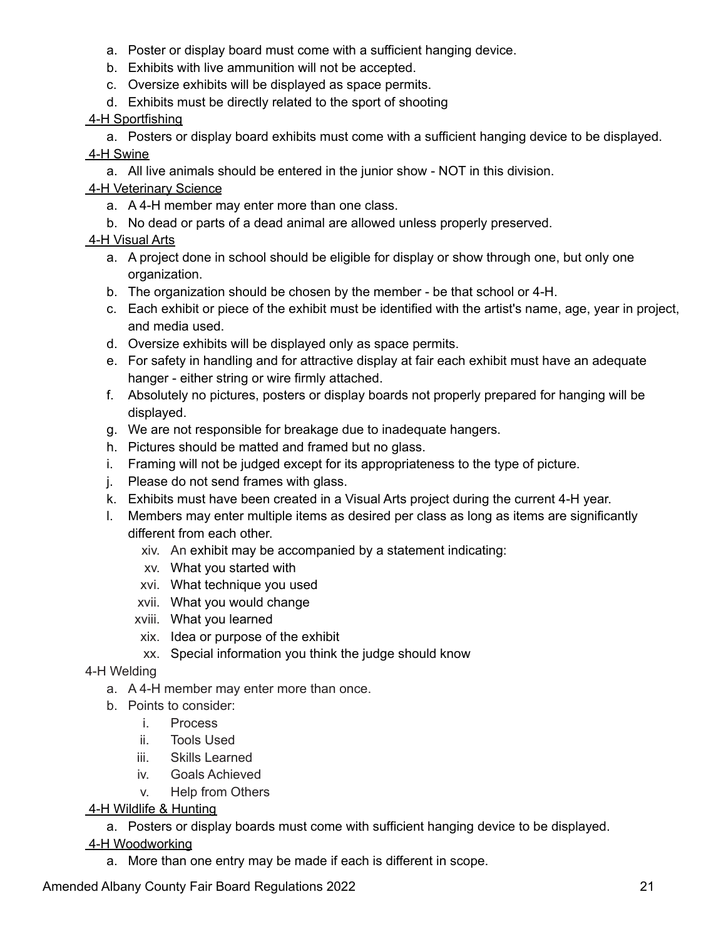- a. Poster or display board must come with a sufficient hanging device.
- b. Exhibits with live ammunition will not be accepted.
- c. Oversize exhibits will be displayed as space permits.
- d. Exhibits must be directly related to the sport of shooting

### 4-H Sportfishing

a. Posters or display board exhibits must come with a sufficient hanging device to be displayed.

### 4-H Swine

a. All live animals should be entered in the junior show - NOT in this division.

## 4-H Veterinary Science

- a. A 4-H member may enter more than one class.
- b. No dead or parts of a dead animal are allowed unless properly preserved.

## 4-H Visual Arts

- a. A project done in school should be eligible for display or show through one, but only one organization.
- b. The organization should be chosen by the member be that school or 4-H.
- c. Each exhibit or piece of the exhibit must be identified with the artist's name, age, year in project, and media used.
- d. Oversize exhibits will be displayed only as space permits.
- e. For safety in handling and for attractive display at fair each exhibit must have an adequate hanger - either string or wire firmly attached.
- f. Absolutely no pictures, posters or display boards not properly prepared for hanging will be displayed.
- g. We are not responsible for breakage due to inadequate hangers.
- h. Pictures should be matted and framed but no glass.
- i. Framing will not be judged except for its appropriateness to the type of picture.
- j. Please do not send frames with glass.
- k. Exhibits must have been created in a Visual Arts project during the current 4-H year.
- l. Members may enter multiple items as desired per class as long as items are significantly different from each other.
	- xiv. An exhibit may be accompanied by a statement indicating:
	- xv. What you started with
	- xvi. What technique you used
	- xvii. What you would change
	- xviii. What you learned
	- xix. Idea or purpose of the exhibit
	- xx. Special information you think the judge should know

## 4-H Welding

- a. A 4-H member may enter more than once.
- b. Points to consider:
	- i. Process
	- ii. Tools Used
	- iii. Skills Learned
	- iv. Goals Achieved
	- v. Help from Others

## 4-H Wildlife & Hunting

a. Posters or display boards must come with sufficient hanging device to be displayed.

## 4-H Woodworking

a. More than one entry may be made if each is different in scope.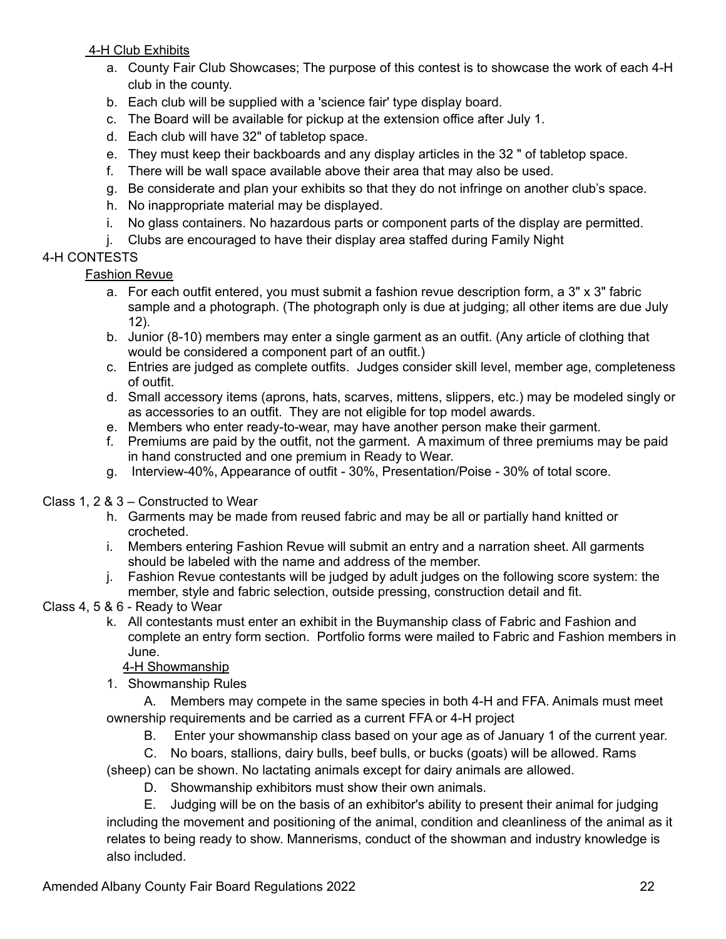4-H Club Exhibits

- a. County Fair Club Showcases; The purpose of this contest is to showcase the work of each 4-H club in the county.
- b. Each club will be supplied with a 'science fair' type display board.
- c. The Board will be available for pickup at the extension office after July 1.
- d. Each club will have 32" of tabletop space.
- e. They must keep their backboards and any display articles in the 32 " of tabletop space.
- f. There will be wall space available above their area that may also be used.
- g. Be considerate and plan your exhibits so that they do not infringe on another club's space.
- h. No inappropriate material may be displayed.
- i. No glass containers. No hazardous parts or component parts of the display are permitted.
- j. Clubs are encouraged to have their display area staffed during Family Night

## 4-H CONTESTS

## Fashion Revue

- a. For each outfit entered, you must submit a fashion revue description form, a 3" x 3" fabric sample and a photograph. (The photograph only is due at judging; all other items are due July 12).
- b. Junior (8-10) members may enter a single garment as an outfit. (Any article of clothing that would be considered a component part of an outfit.)
- c. Entries are judged as complete outfits. Judges consider skill level, member age, completeness of outfit.
- d. Small accessory items (aprons, hats, scarves, mittens, slippers, etc.) may be modeled singly or as accessories to an outfit. They are not eligible for top model awards.
- e. Members who enter ready-to-wear, may have another person make their garment.
- f. Premiums are paid by the outfit, not the garment. A maximum of three premiums may be paid in hand constructed and one premium in Ready to Wear.
- g. Interview-40%, Appearance of outfit 30%, Presentation/Poise 30% of total score.

# Class 1, 2 & 3 – Constructed to Wear

- h. Garments may be made from reused fabric and may be all or partially hand knitted or crocheted.
- i. Members entering Fashion Revue will submit an entry and a narration sheet. All garments should be labeled with the name and address of the member.
- j. Fashion Revue contestants will be judged by adult judges on the following score system: the member, style and fabric selection, outside pressing, construction detail and fit.
- Class 4, 5 & 6 Ready to Wear
	- k. All contestants must enter an exhibit in the Buymanship class of Fabric and Fashion and complete an entry form section. Portfolio forms were mailed to Fabric and Fashion members in June.

## 4-H Showmanship

1. Showmanship Rules

A. Members may compete in the same species in both 4-H and FFA. Animals must meet ownership requirements and be carried as a current FFA or 4-H project

- B. Enter your showmanship class based on your age as of January 1 of the current year.
- C. No boars, stallions, dairy bulls, beef bulls, or bucks (goats) will be allowed. Rams

(sheep) can be shown. No lactating animals except for dairy animals are allowed.

D. Showmanship exhibitors must show their own animals.

E. Judging will be on the basis of an exhibitor's ability to present their animal for judging including the movement and positioning of the animal, condition and cleanliness of the animal as it relates to being ready to show. Mannerisms, conduct of the showman and industry knowledge is also included.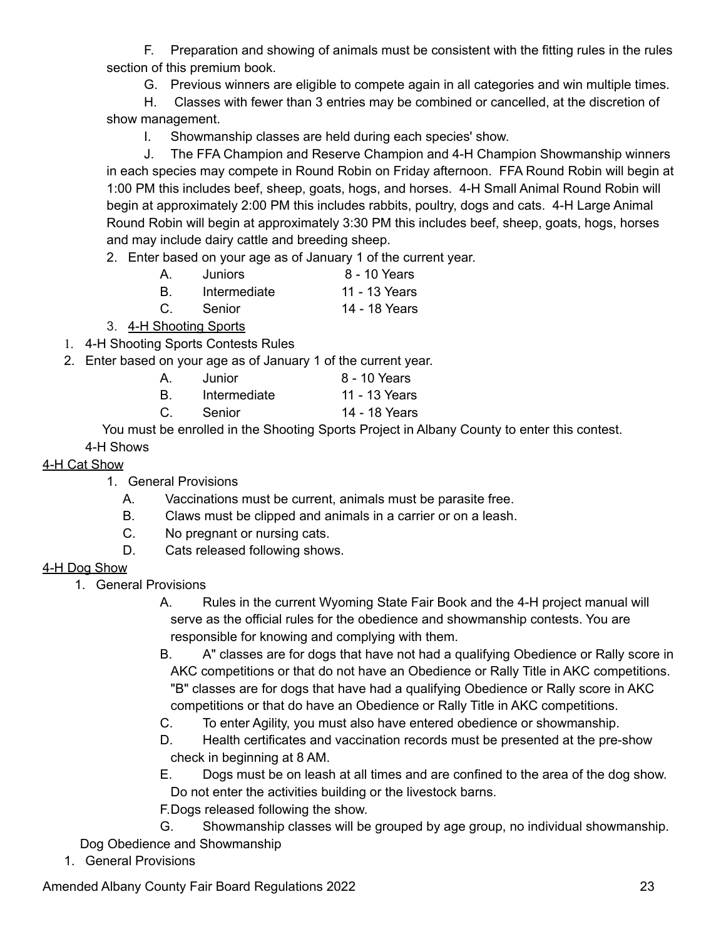F. Preparation and showing of animals must be consistent with the fitting rules in the rules section of this premium book.

G. Previous winners are eligible to compete again in all categories and win multiple times.

H. Classes with fewer than 3 entries may be combined or cancelled, at the discretion of show management.

I. Showmanship classes are held during each species' show.

J. The FFA Champion and Reserve Champion and 4-H Champion Showmanship winners in each species may compete in Round Robin on Friday afternoon. FFA Round Robin will begin at 1:00 PM this includes beef, sheep, goats, hogs, and horses. 4-H Small Animal Round Robin will begin at approximately 2:00 PM this includes rabbits, poultry, dogs and cats. 4-H Large Animal Round Robin will begin at approximately 3:30 PM this includes beef, sheep, goats, hogs, horses and may include dairy cattle and breeding sheep.

2. Enter based on your age as of January 1 of the current year.

A. Juniors 8 - 10 Years B. Intermediate 11 - 13 Years

C. Senior 14 - 18 Years

3. 4-H Shooting Sports

1. 4-H Shooting Sports Contests Rules

2. Enter based on your age as of January 1 of the current year.

| <b>A</b> . | Junior.      | 8 - 10 Years  |
|------------|--------------|---------------|
|            | Intermediate | 11 - 13 Years |

C. Senior 14 - 18 Years

You must be enrolled in the Shooting Sports Project in Albany County to enter this contest.

# 4-H Shows

## 4-H Cat Show

- 1. General Provisions
	- A. Vaccinations must be current, animals must be parasite free.
	- B. Claws must be clipped and animals in a carrier or on a leash.
	- C. No pregnant or nursing cats.
	- D. Cats released following shows.

### 4-H Dog Show

1. General Provisions

A. Rules in the current Wyoming State Fair Book and the 4-H project manual will serve as the official rules for the obedience and showmanship contests. You are responsible for knowing and complying with them.

- B. A" classes are for dogs that have not had a qualifying Obedience or Rally score in AKC competitions or that do not have an Obedience or Rally Title in AKC competitions. "B" classes are for dogs that have had a qualifying Obedience or Rally score in AKC competitions or that do have an Obedience or Rally Title in AKC competitions.
- C. To enter Agility, you must also have entered obedience or showmanship.
- D. Health certificates and vaccination records must be presented at the pre-show check in beginning at 8 AM.
- E. Dogs must be on leash at all times and are confined to the area of the dog show. Do not enter the activities building or the livestock barns.
- F.Dogs released following the show.

G. Showmanship classes will be grouped by age group, no individual showmanship. Dog Obedience and Showmanship

1. General Provisions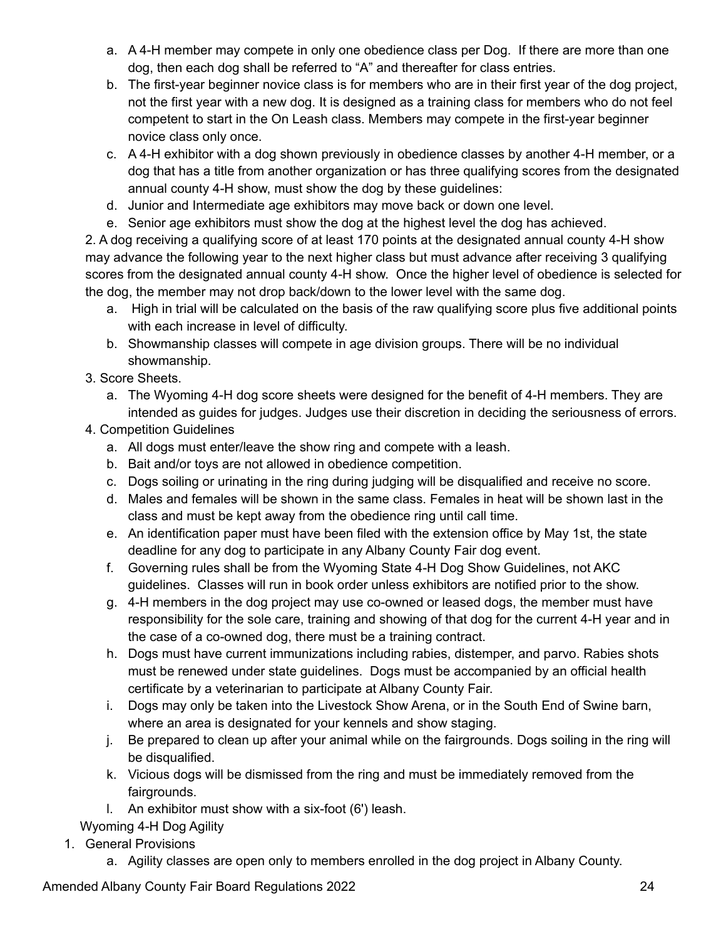- a. A 4-H member may compete in only one obedience class per Dog. If there are more than one dog, then each dog shall be referred to "A" and thereafter for class entries.
- b. The first-year beginner novice class is for members who are in their first year of the dog project, not the first year with a new dog. It is designed as a training class for members who do not feel competent to start in the On Leash class. Members may compete in the first-year beginner novice class only once.
- c. A 4-H exhibitor with a dog shown previously in obedience classes by another 4-H member, or a dog that has a title from another organization or has three qualifying scores from the designated annual county 4-H show, must show the dog by these guidelines:
- d. Junior and Intermediate age exhibitors may move back or down one level.
- e. Senior age exhibitors must show the dog at the highest level the dog has achieved.

2. A dog receiving a qualifying score of at least 170 points at the designated annual county 4-H show may advance the following year to the next higher class but must advance after receiving 3 qualifying scores from the designated annual county 4-H show. Once the higher level of obedience is selected for the dog, the member may not drop back/down to the lower level with the same dog.

- a. High in trial will be calculated on the basis of the raw qualifying score plus five additional points with each increase in level of difficulty.
- b. Showmanship classes will compete in age division groups. There will be no individual showmanship.
- 3. Score Sheets.
	- a. The Wyoming 4-H dog score sheets were designed for the benefit of 4-H members. They are intended as guides for judges. Judges use their discretion in deciding the seriousness of errors.
- 4. Competition Guidelines
	- a. All dogs must enter/leave the show ring and compete with a leash.
	- b. Bait and/or toys are not allowed in obedience competition.
	- c. Dogs soiling or urinating in the ring during judging will be disqualified and receive no score.
	- d. Males and females will be shown in the same class. Females in heat will be shown last in the class and must be kept away from the obedience ring until call time.
	- e. An identification paper must have been filed with the extension office by May 1st, the state deadline for any dog to participate in any Albany County Fair dog event.
	- f. Governing rules shall be from the Wyoming State 4-H Dog Show Guidelines, not AKC guidelines. Classes will run in book order unless exhibitors are notified prior to the show.
	- g. 4-H members in the dog project may use co-owned or leased dogs, the member must have responsibility for the sole care, training and showing of that dog for the current 4-H year and in the case of a co-owned dog, there must be a training contract.
	- h. Dogs must have current immunizations including rabies, distemper, and parvo. Rabies shots must be renewed under state guidelines. Dogs must be accompanied by an official health certificate by a veterinarian to participate at Albany County Fair.
	- i. Dogs may only be taken into the Livestock Show Arena, or in the South End of Swine barn, where an area is designated for your kennels and show staging.
	- j. Be prepared to clean up after your animal while on the fairgrounds. Dogs soiling in the ring will be disqualified.
	- k. Vicious dogs will be dismissed from the ring and must be immediately removed from the fairgrounds.
	- l. An exhibitor must show with a six-foot (6') leash.

Wyoming 4-H Dog Agility

- 1. General Provisions
	- a. Agility classes are open only to members enrolled in the dog project in Albany County.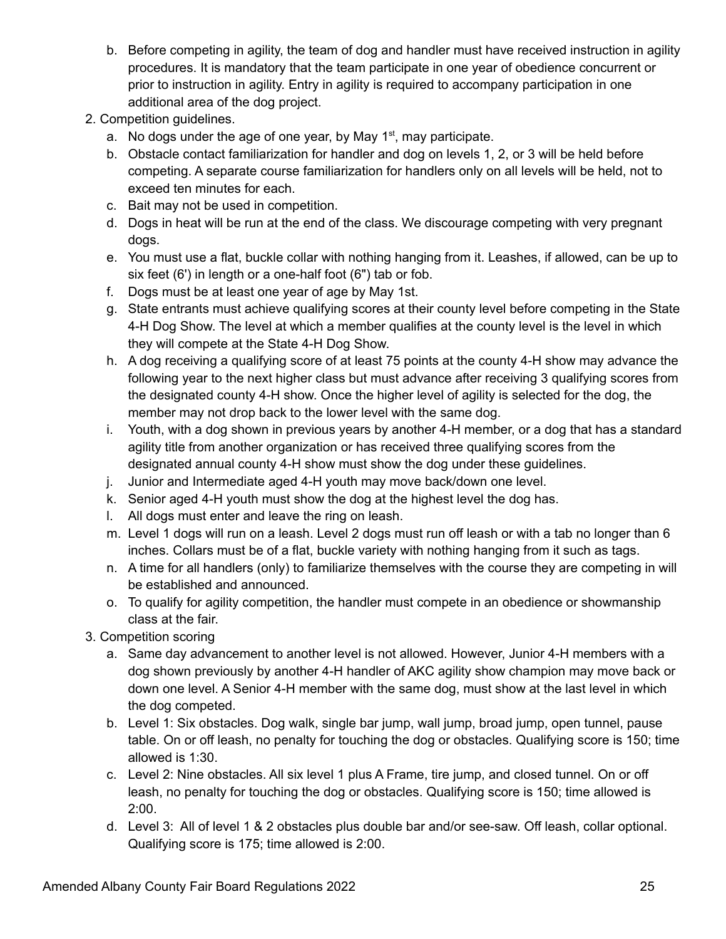- b. Before competing in agility, the team of dog and handler must have received instruction in agility procedures. It is mandatory that the team participate in one year of obedience concurrent or prior to instruction in agility. Entry in agility is required to accompany participation in one additional area of the dog project.
- 2. Competition guidelines.
	- a. No dogs under the age of one year, by May  $1<sup>st</sup>$ , may participate.
	- b. Obstacle contact familiarization for handler and dog on levels 1, 2, or 3 will be held before competing. A separate course familiarization for handlers only on all levels will be held, not to exceed ten minutes for each.
	- c. Bait may not be used in competition.
	- d. Dogs in heat will be run at the end of the class. We discourage competing with very pregnant dogs.
	- e. You must use a flat, buckle collar with nothing hanging from it. Leashes, if allowed, can be up to six feet (6') in length or a one-half foot (6") tab or fob.
	- f. Dogs must be at least one year of age by May 1st.
	- g. State entrants must achieve qualifying scores at their county level before competing in the State 4-H Dog Show. The level at which a member qualifies at the county level is the level in which they will compete at the State 4-H Dog Show.
	- h. A dog receiving a qualifying score of at least 75 points at the county 4-H show may advance the following year to the next higher class but must advance after receiving 3 qualifying scores from the designated county 4-H show. Once the higher level of agility is selected for the dog, the member may not drop back to the lower level with the same dog.
	- i. Youth, with a dog shown in previous years by another 4-H member, or a dog that has a standard agility title from another organization or has received three qualifying scores from the designated annual county 4-H show must show the dog under these guidelines.
	- j. Junior and Intermediate aged 4-H youth may move back/down one level.
	- k. Senior aged 4-H youth must show the dog at the highest level the dog has.
	- l. All dogs must enter and leave the ring on leash.
	- m. Level 1 dogs will run on a leash. Level 2 dogs must run off leash or with a tab no longer than 6 inches. Collars must be of a flat, buckle variety with nothing hanging from it such as tags.
	- n. A time for all handlers (only) to familiarize themselves with the course they are competing in will be established and announced.
	- o. To qualify for agility competition, the handler must compete in an obedience or showmanship class at the fair.
- 3. Competition scoring
	- a. Same day advancement to another level is not allowed. However, Junior 4-H members with a dog shown previously by another 4-H handler of AKC agility show champion may move back or down one level. A Senior 4-H member with the same dog, must show at the last level in which the dog competed.
	- b. Level 1: Six obstacles. Dog walk, single bar jump, wall jump, broad jump, open tunnel, pause table. On or off leash, no penalty for touching the dog or obstacles. Qualifying score is 150; time allowed is 1:30.
	- c. Level 2: Nine obstacles. All six level 1 plus A Frame, tire jump, and closed tunnel. On or off leash, no penalty for touching the dog or obstacles. Qualifying score is 150; time allowed is 2:00.
	- d. Level 3: All of level 1 & 2 obstacles plus double bar and/or see-saw. Off leash, collar optional. Qualifying score is 175; time allowed is 2:00.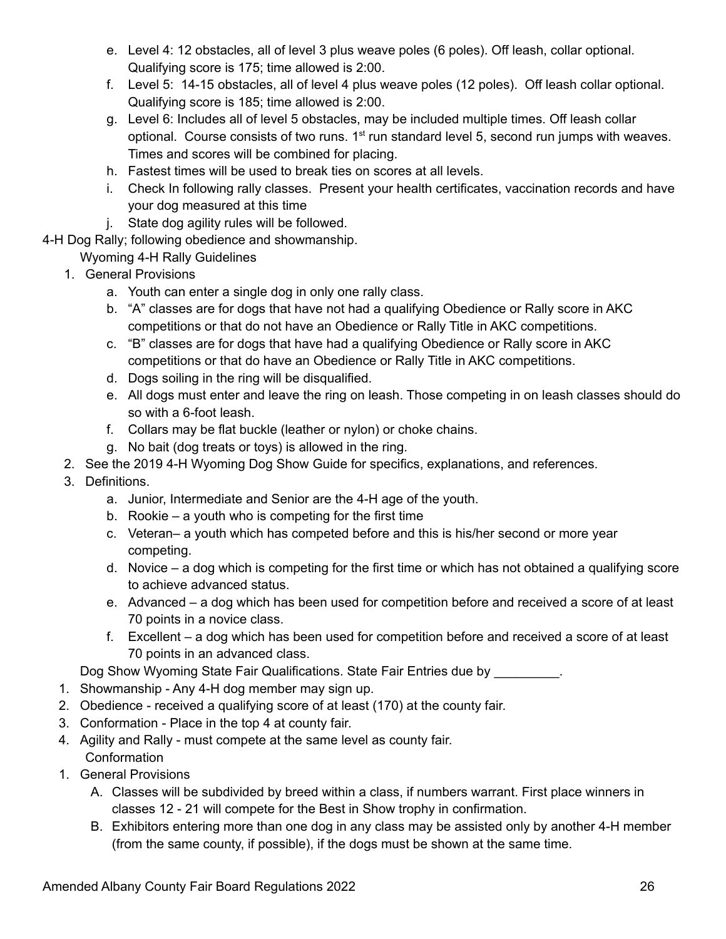- e. Level 4: 12 obstacles, all of level 3 plus weave poles (6 poles). Off leash, collar optional. Qualifying score is 175; time allowed is 2:00.
- f. Level 5: 14-15 obstacles, all of level 4 plus weave poles (12 poles). Off leash collar optional. Qualifying score is 185; time allowed is 2:00.
- g. Level 6: Includes all of level 5 obstacles, may be included multiple times. Off leash collar optional. Course consists of two runs.  $1<sup>st</sup>$  run standard level 5, second run jumps with weaves. Times and scores will be combined for placing.
- h. Fastest times will be used to break ties on scores at all levels.
- i. Check In following rally classes. Present your health certificates, vaccination records and have your dog measured at this time
- j. State dog agility rules will be followed.
- 4-H Dog Rally; following obedience and showmanship.

Wyoming 4-H Rally Guidelines

- 1. General Provisions
	- a. Youth can enter a single dog in only one rally class.
	- b. "A" classes are for dogs that have not had a qualifying Obedience or Rally score in AKC competitions or that do not have an Obedience or Rally Title in AKC competitions.
	- c. "B" classes are for dogs that have had a qualifying Obedience or Rally score in AKC competitions or that do have an Obedience or Rally Title in AKC competitions.
	- d. Dogs soiling in the ring will be disqualified.
	- e. All dogs must enter and leave the ring on leash. Those competing in on leash classes should do so with a 6-foot leash.
	- f. Collars may be flat buckle (leather or nylon) or choke chains.
	- g. No bait (dog treats or toys) is allowed in the ring.
- 2. See the 2019 4-H Wyoming Dog Show Guide for specifics, explanations, and references.
- 3. Definitions.
	- a. Junior, Intermediate and Senior are the 4-H age of the youth.
	- b. Rookie a youth who is competing for the first time
	- c. Veteran– a youth which has competed before and this is his/her second or more year competing.
	- d. Novice a dog which is competing for the first time or which has not obtained a qualifying score to achieve advanced status.
	- e. Advanced a dog which has been used for competition before and received a score of at least 70 points in a novice class.
	- f. Excellent a dog which has been used for competition before and received a score of at least 70 points in an advanced class.

Dog Show Wyoming State Fair Qualifications. State Fair Entries due by \_\_\_\_\_\_\_\_\_.

- 1. Showmanship Any 4-H dog member may sign up.
- 2. Obedience received a qualifying score of at least (170) at the county fair.
- 3. Conformation Place in the top 4 at county fair.
- 4. Agility and Rally must compete at the same level as county fair. **Conformation**
- 1. General Provisions
	- A. Classes will be subdivided by breed within a class, if numbers warrant. First place winners in classes 12 - 21 will compete for the Best in Show trophy in confirmation.
	- B. Exhibitors entering more than one dog in any class may be assisted only by another 4-H member (from the same county, if possible), if the dogs must be shown at the same time.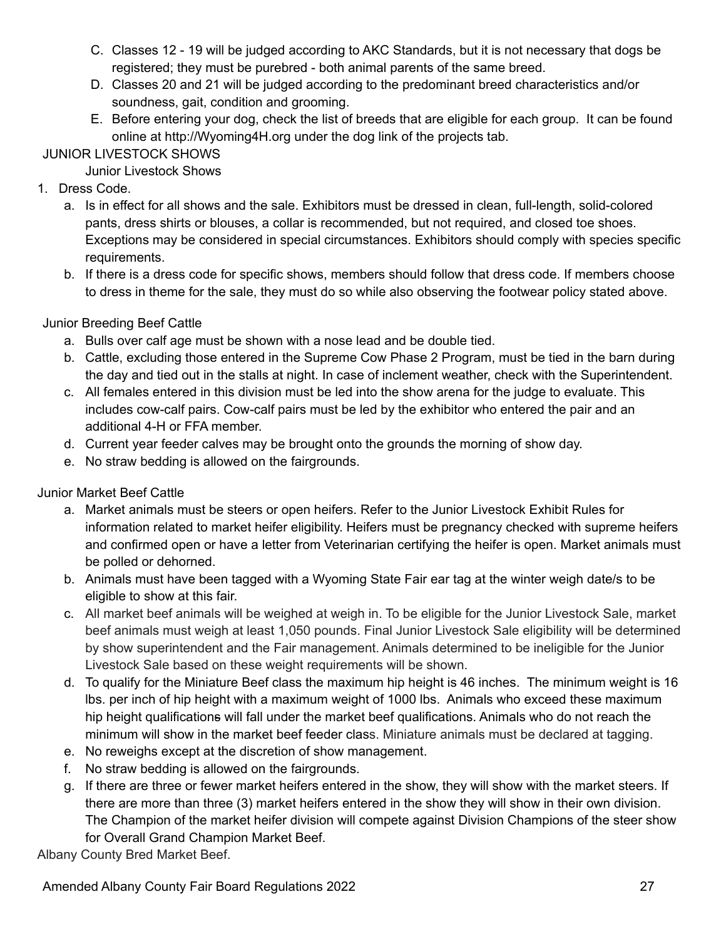- C. Classes 12 19 will be judged according to AKC Standards, but it is not necessary that dogs be registered; they must be purebred - both animal parents of the same breed.
- D. Classes 20 and 21 will be judged according to the predominant breed characteristics and/or soundness, gait, condition and grooming.
- E. Before entering your dog, check the list of breeds that are eligible for each group. It can be found online at http://Wyoming4H.org under the dog link of the projects tab.

## JUNIOR LIVESTOCK SHOWS

Junior Livestock Shows

- 1. Dress Code.
	- a. Is in effect for all shows and the sale. Exhibitors must be dressed in clean, full-length, solid-colored pants, dress shirts or blouses, a collar is recommended, but not required, and closed toe shoes. Exceptions may be considered in special circumstances. Exhibitors should comply with species specific requirements.
	- b. If there is a dress code for specific shows, members should follow that dress code. If members choose to dress in theme for the sale, they must do so while also observing the footwear policy stated above.

Junior Breeding Beef Cattle

- a. Bulls over calf age must be shown with a nose lead and be double tied.
- b. Cattle, excluding those entered in the Supreme Cow Phase 2 Program, must be tied in the barn during the day and tied out in the stalls at night. In case of inclement weather, check with the Superintendent.
- c. All females entered in this division must be led into the show arena for the judge to evaluate. This includes cow-calf pairs. Cow-calf pairs must be led by the exhibitor who entered the pair and an additional 4-H or FFA member.
- d. Current year feeder calves may be brought onto the grounds the morning of show day.
- e. No straw bedding is allowed on the fairgrounds.

Junior Market Beef Cattle

- a. Market animals must be steers or open heifers. Refer to the Junior Livestock Exhibit Rules for information related to market heifer eligibility. Heifers must be pregnancy checked with supreme heifers and confirmed open or have a letter from Veterinarian certifying the heifer is open. Market animals must be polled or dehorned.
- b. Animals must have been tagged with a Wyoming State Fair ear tag at the winter weigh date/s to be eligible to show at this fair.
- c. All market beef animals will be weighed at weigh in. To be eligible for the Junior Livestock Sale, market beef animals must weigh at least 1,050 pounds. Final Junior Livestock Sale eligibility will be determined by show superintendent and the Fair management. Animals determined to be ineligible for the Junior Livestock Sale based on these weight requirements will be shown.
- d. To qualify for the Miniature Beef class the maximum hip height is 46 inches. The minimum weight is 16 lbs. per inch of hip height with a maximum weight of 1000 lbs. Animals who exceed these maximum hip height qualifications will fall under the market beef qualifications. Animals who do not reach the minimum will show in the market beef feeder class. Miniature animals must be declared at tagging.
- e. No reweighs except at the discretion of show management.
- f. No straw bedding is allowed on the fairgrounds.
- g. If there are three or fewer market heifers entered in the show, they will show with the market steers. If there are more than three (3) market heifers entered in the show they will show in their own division. The Champion of the market heifer division will compete against Division Champions of the steer show for Overall Grand Champion Market Beef.

Albany County Bred Market Beef.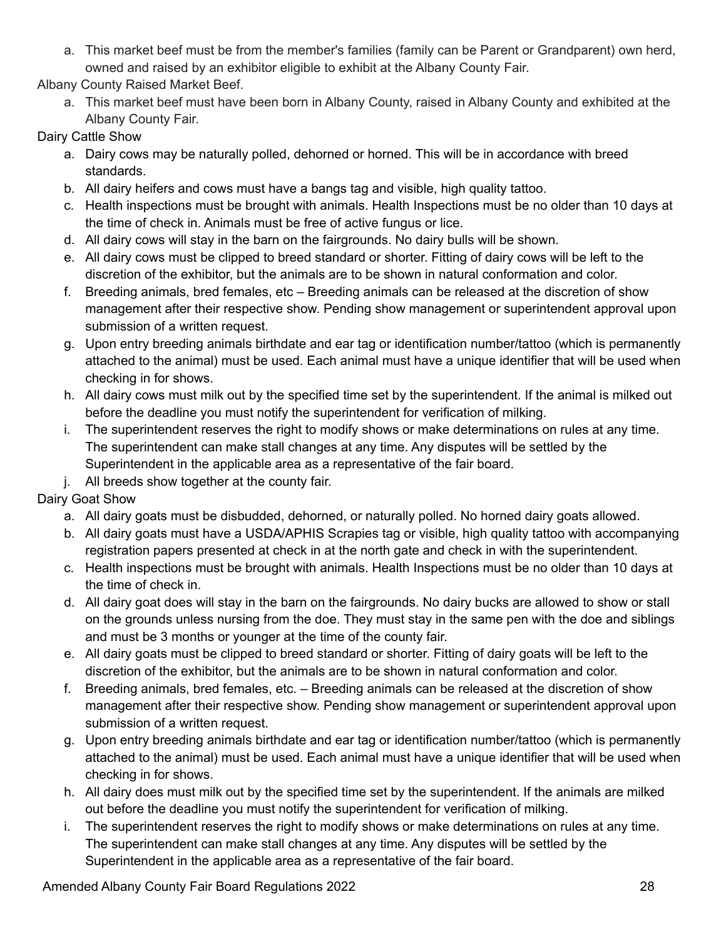a. This market beef must be from the member's families (family can be Parent or Grandparent) own herd, owned and raised by an exhibitor eligible to exhibit at the Albany County Fair.

Albany County Raised Market Beef.

a. This market beef must have been born in Albany County, raised in Albany County and exhibited at the Albany County Fair.

Dairy Cattle Show

- a. Dairy cows may be naturally polled, dehorned or horned. This will be in accordance with breed standards.
- b. All dairy heifers and cows must have a bangs tag and visible, high quality tattoo.
- c. Health inspections must be brought with animals. Health Inspections must be no older than 10 days at the time of check in. Animals must be free of active fungus or lice.
- d. All dairy cows will stay in the barn on the fairgrounds. No dairy bulls will be shown.
- e. All dairy cows must be clipped to breed standard or shorter. Fitting of dairy cows will be left to the discretion of the exhibitor, but the animals are to be shown in natural conformation and color.
- f. Breeding animals, bred females, etc Breeding animals can be released at the discretion of show management after their respective show. Pending show management or superintendent approval upon submission of a written request.
- g. Upon entry breeding animals birthdate and ear tag or identification number/tattoo (which is permanently attached to the animal) must be used. Each animal must have a unique identifier that will be used when checking in for shows.
- h. All dairy cows must milk out by the specified time set by the superintendent. If the animal is milked out before the deadline you must notify the superintendent for verification of milking.
- i. The superintendent reserves the right to modify shows or make determinations on rules at any time. The superintendent can make stall changes at any time. Any disputes will be settled by the Superintendent in the applicable area as a representative of the fair board.
- j. All breeds show together at the county fair.

Dairy Goat Show

- a. All dairy goats must be disbudded, dehorned, or naturally polled. No horned dairy goats allowed.
- b. All dairy goats must have a USDA/APHIS Scrapies tag or visible, high quality tattoo with accompanying registration papers presented at check in at the north gate and check in with the superintendent.
- c. Health inspections must be brought with animals. Health Inspections must be no older than 10 days at the time of check in.
- d. All dairy goat does will stay in the barn on the fairgrounds. No dairy bucks are allowed to show or stall on the grounds unless nursing from the doe. They must stay in the same pen with the doe and siblings and must be 3 months or younger at the time of the county fair.
- e. All dairy goats must be clipped to breed standard or shorter. Fitting of dairy goats will be left to the discretion of the exhibitor, but the animals are to be shown in natural conformation and color.
- f. Breeding animals, bred females, etc. Breeding animals can be released at the discretion of show management after their respective show. Pending show management or superintendent approval upon submission of a written request.
- g. Upon entry breeding animals birthdate and ear tag or identification number/tattoo (which is permanently attached to the animal) must be used. Each animal must have a unique identifier that will be used when checking in for shows.
- h. All dairy does must milk out by the specified time set by the superintendent. If the animals are milked out before the deadline you must notify the superintendent for verification of milking.
- i. The superintendent reserves the right to modify shows or make determinations on rules at any time. The superintendent can make stall changes at any time. Any disputes will be settled by the Superintendent in the applicable area as a representative of the fair board.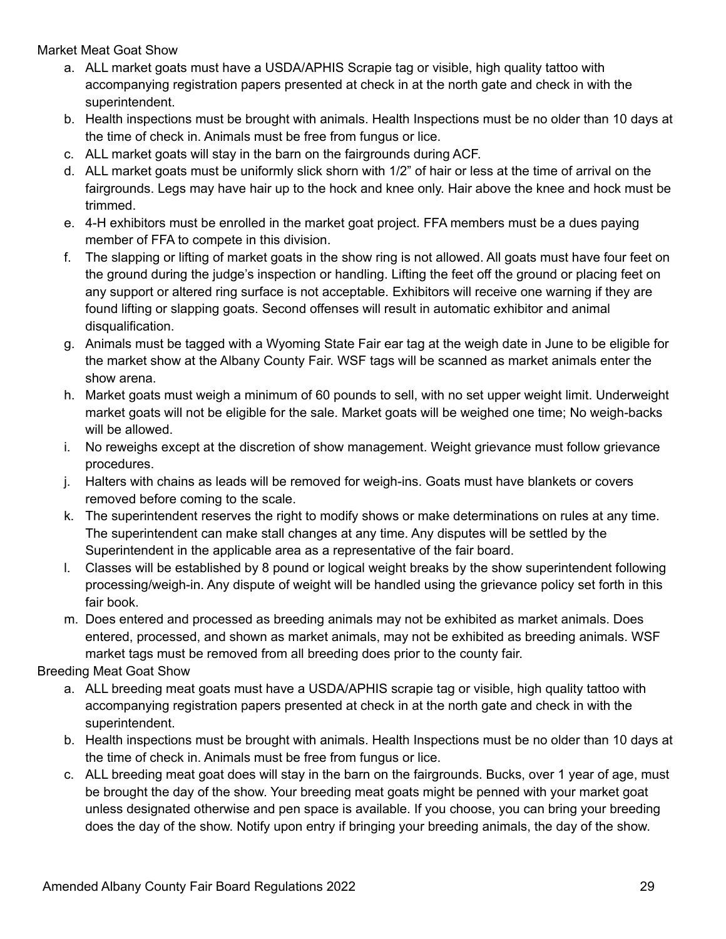Market Meat Goat Show

- a. ALL market goats must have a USDA/APHIS Scrapie tag or visible, high quality tattoo with accompanying registration papers presented at check in at the north gate and check in with the superintendent.
- b. Health inspections must be brought with animals. Health Inspections must be no older than 10 days at the time of check in. Animals must be free from fungus or lice.
- c. ALL market goats will stay in the barn on the fairgrounds during ACF.
- d. ALL market goats must be uniformly slick shorn with 1/2" of hair or less at the time of arrival on the fairgrounds. Legs may have hair up to the hock and knee only. Hair above the knee and hock must be trimmed.
- e. 4-H exhibitors must be enrolled in the market goat project. FFA members must be a dues paying member of FFA to compete in this division.
- f. The slapping or lifting of market goats in the show ring is not allowed. All goats must have four feet on the ground during the judge's inspection or handling. Lifting the feet off the ground or placing feet on any support or altered ring surface is not acceptable. Exhibitors will receive one warning if they are found lifting or slapping goats. Second offenses will result in automatic exhibitor and animal disqualification.
- g. Animals must be tagged with a Wyoming State Fair ear tag at the weigh date in June to be eligible for the market show at the Albany County Fair. WSF tags will be scanned as market animals enter the show arena.
- h. Market goats must weigh a minimum of 60 pounds to sell, with no set upper weight limit. Underweight market goats will not be eligible for the sale. Market goats will be weighed one time; No weigh-backs will be allowed.
- i. No reweighs except at the discretion of show management. Weight grievance must follow grievance procedures.
- j. Halters with chains as leads will be removed for weigh-ins. Goats must have blankets or covers removed before coming to the scale.
- k. The superintendent reserves the right to modify shows or make determinations on rules at any time. The superintendent can make stall changes at any time. Any disputes will be settled by the Superintendent in the applicable area as a representative of the fair board.
- l. Classes will be established by 8 pound or logical weight breaks by the show superintendent following processing/weigh-in. Any dispute of weight will be handled using the grievance policy set forth in this fair book.
- m. Does entered and processed as breeding animals may not be exhibited as market animals. Does entered, processed, and shown as market animals, may not be exhibited as breeding animals. WSF market tags must be removed from all breeding does prior to the county fair.

Breeding Meat Goat Show

- a. ALL breeding meat goats must have a USDA/APHIS scrapie tag or visible, high quality tattoo with accompanying registration papers presented at check in at the north gate and check in with the superintendent.
- b. Health inspections must be brought with animals. Health Inspections must be no older than 10 days at the time of check in. Animals must be free from fungus or lice.
- c. ALL breeding meat goat does will stay in the barn on the fairgrounds. Bucks, over 1 year of age, must be brought the day of the show. Your breeding meat goats might be penned with your market goat unless designated otherwise and pen space is available. If you choose, you can bring your breeding does the day of the show. Notify upon entry if bringing your breeding animals, the day of the show.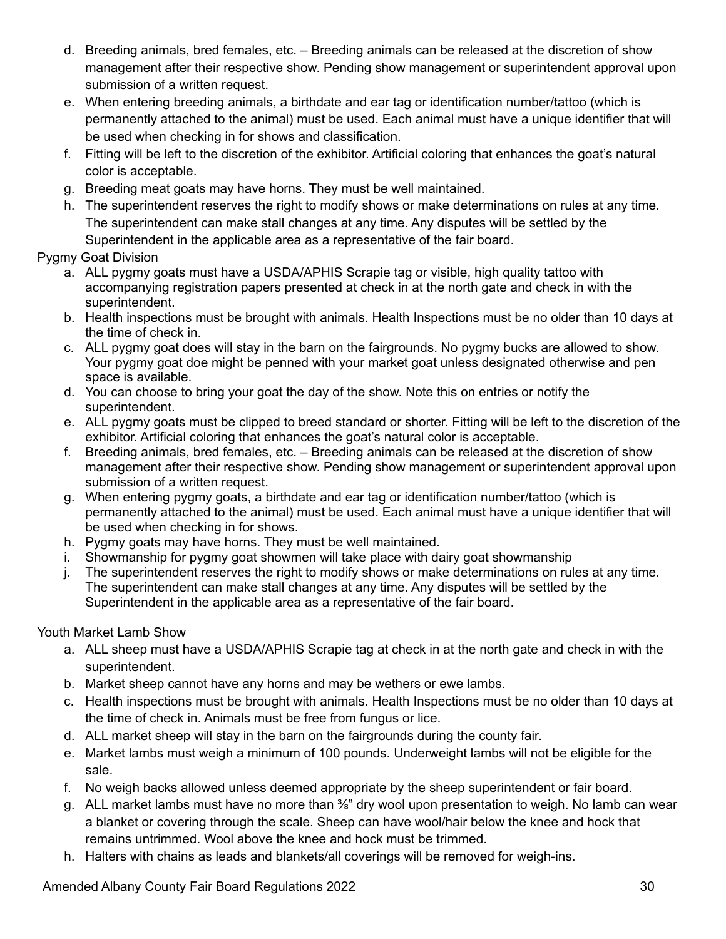- d. Breeding animals, bred females, etc. Breeding animals can be released at the discretion of show management after their respective show. Pending show management or superintendent approval upon submission of a written request.
- e. When entering breeding animals, a birthdate and ear tag or identification number/tattoo (which is permanently attached to the animal) must be used. Each animal must have a unique identifier that will be used when checking in for shows and classification.
- f. Fitting will be left to the discretion of the exhibitor. Artificial coloring that enhances the goat's natural color is acceptable.
- g. Breeding meat goats may have horns. They must be well maintained.
- h. The superintendent reserves the right to modify shows or make determinations on rules at any time. The superintendent can make stall changes at any time. Any disputes will be settled by the Superintendent in the applicable area as a representative of the fair board.

Pygmy Goat Division

- a. ALL pygmy goats must have a USDA/APHIS Scrapie tag or visible, high quality tattoo with accompanying registration papers presented at check in at the north gate and check in with the superintendent.
- b. Health inspections must be brought with animals. Health Inspections must be no older than 10 days at the time of check in.
- c. ALL pygmy goat does will stay in the barn on the fairgrounds. No pygmy bucks are allowed to show. Your pygmy goat doe might be penned with your market goat unless designated otherwise and pen space is available.
- d. You can choose to bring your goat the day of the show. Note this on entries or notify the superintendent.
- e. ALL pygmy goats must be clipped to breed standard or shorter. Fitting will be left to the discretion of the exhibitor. Artificial coloring that enhances the goat's natural color is acceptable.
- f. Breeding animals, bred females, etc. Breeding animals can be released at the discretion of show management after their respective show. Pending show management or superintendent approval upon submission of a written request.
- g. When entering pygmy goats, a birthdate and ear tag or identification number/tattoo (which is permanently attached to the animal) must be used. Each animal must have a unique identifier that will be used when checking in for shows.
- h. Pygmy goats may have horns. They must be well maintained.
- i. Showmanship for pygmy goat showmen will take place with dairy goat showmanship
- j. The superintendent reserves the right to modify shows or make determinations on rules at any time. The superintendent can make stall changes at any time. Any disputes will be settled by the Superintendent in the applicable area as a representative of the fair board.

Youth Market Lamb Show

- a. ALL sheep must have a USDA/APHIS Scrapie tag at check in at the north gate and check in with the superintendent.
- b. Market sheep cannot have any horns and may be wethers or ewe lambs.
- c. Health inspections must be brought with animals. Health Inspections must be no older than 10 days at the time of check in. Animals must be free from fungus or lice.
- d. ALL market sheep will stay in the barn on the fairgrounds during the county fair.
- e. Market lambs must weigh a minimum of 100 pounds. Underweight lambs will not be eligible for the sale.
- f. No weigh backs allowed unless deemed appropriate by the sheep superintendent or fair board.
- g. ALL market lambs must have no more than <sup>3</sup>/<sub>6</sub>" dry wool upon presentation to weigh. No lamb can wear a blanket or covering through the scale. Sheep can have wool/hair below the knee and hock that remains untrimmed. Wool above the knee and hock must be trimmed.
- h. Halters with chains as leads and blankets/all coverings will be removed for weigh-ins.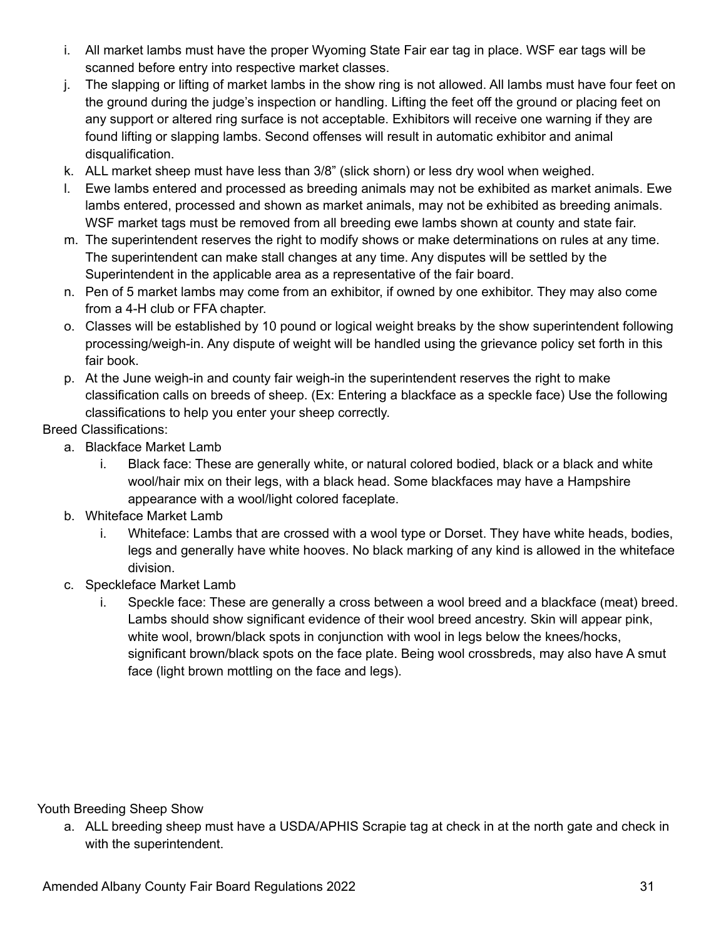- i. All market lambs must have the proper Wyoming State Fair ear tag in place. WSF ear tags will be scanned before entry into respective market classes.
- j. The slapping or lifting of market lambs in the show ring is not allowed. All lambs must have four feet on the ground during the judge's inspection or handling. Lifting the feet off the ground or placing feet on any support or altered ring surface is not acceptable. Exhibitors will receive one warning if they are found lifting or slapping lambs. Second offenses will result in automatic exhibitor and animal disqualification.
- k. ALL market sheep must have less than 3/8" (slick shorn) or less dry wool when weighed.
- l. Ewe lambs entered and processed as breeding animals may not be exhibited as market animals. Ewe lambs entered, processed and shown as market animals, may not be exhibited as breeding animals. WSF market tags must be removed from all breeding ewe lambs shown at county and state fair.
- m. The superintendent reserves the right to modify shows or make determinations on rules at any time. The superintendent can make stall changes at any time. Any disputes will be settled by the Superintendent in the applicable area as a representative of the fair board.
- n. Pen of 5 market lambs may come from an exhibitor, if owned by one exhibitor. They may also come from a 4-H club or FFA chapter.
- o. Classes will be established by 10 pound or logical weight breaks by the show superintendent following processing/weigh-in. Any dispute of weight will be handled using the grievance policy set forth in this fair book.
- p. At the June weigh-in and county fair weigh-in the superintendent reserves the right to make classification calls on breeds of sheep. (Ex: Entering a blackface as a speckle face) Use the following classifications to help you enter your sheep correctly.

## Breed Classifications:

- a. Blackface Market Lamb
	- i. Black face: These are generally white, or natural colored bodied, black or a black and white wool/hair mix on their legs, with a black head. Some blackfaces may have a Hampshire appearance with a wool/light colored faceplate.
- b. Whiteface Market Lamb
	- i. Whiteface: Lambs that are crossed with a wool type or Dorset. They have white heads, bodies, legs and generally have white hooves. No black marking of any kind is allowed in the whiteface division.
- c. Speckleface Market Lamb
	- i. Speckle face: These are generally a cross between a wool breed and a blackface (meat) breed. Lambs should show significant evidence of their wool breed ancestry. Skin will appear pink, white wool, brown/black spots in conjunction with wool in legs below the knees/hocks, significant brown/black spots on the face plate. Being wool crossbreds, may also have A smut face (light brown mottling on the face and legs).

Youth Breeding Sheep Show

a. ALL breeding sheep must have a USDA/APHIS Scrapie tag at check in at the north gate and check in with the superintendent.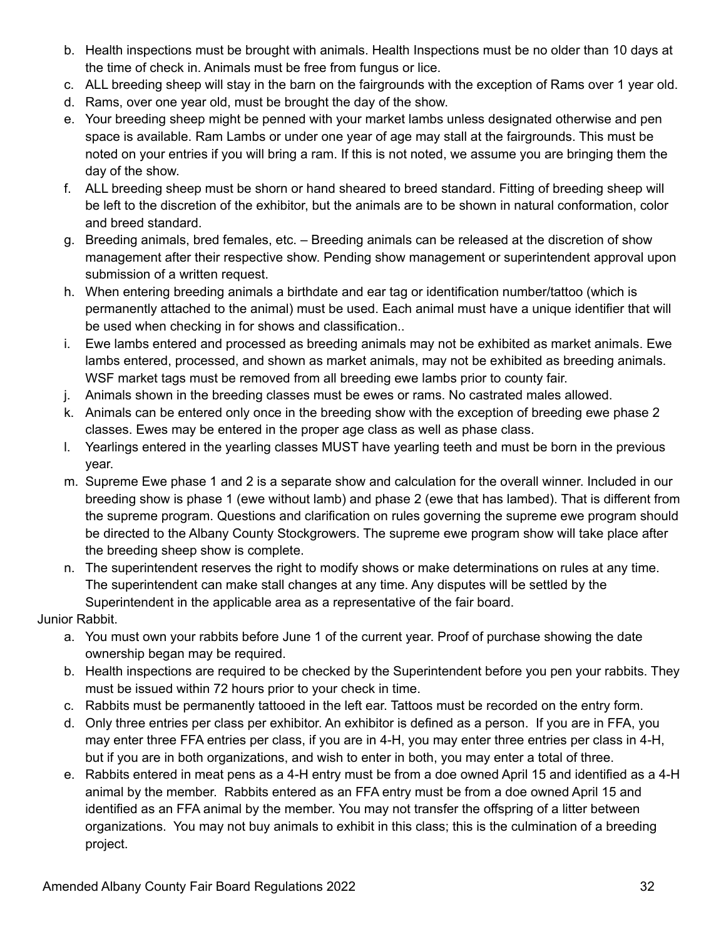- b. Health inspections must be brought with animals. Health Inspections must be no older than 10 days at the time of check in. Animals must be free from fungus or lice.
- c. ALL breeding sheep will stay in the barn on the fairgrounds with the exception of Rams over 1 year old.
- d. Rams, over one year old, must be brought the day of the show.
- e. Your breeding sheep might be penned with your market lambs unless designated otherwise and pen space is available. Ram Lambs or under one year of age may stall at the fairgrounds. This must be noted on your entries if you will bring a ram. If this is not noted, we assume you are bringing them the day of the show.
- f. ALL breeding sheep must be shorn or hand sheared to breed standard. Fitting of breeding sheep will be left to the discretion of the exhibitor, but the animals are to be shown in natural conformation, color and breed standard.
- g. Breeding animals, bred females, etc. Breeding animals can be released at the discretion of show management after their respective show. Pending show management or superintendent approval upon submission of a written request.
- h. When entering breeding animals a birthdate and ear tag or identification number/tattoo (which is permanently attached to the animal) must be used. Each animal must have a unique identifier that will be used when checking in for shows and classification..
- i. Ewe lambs entered and processed as breeding animals may not be exhibited as market animals. Ewe lambs entered, processed, and shown as market animals, may not be exhibited as breeding animals. WSF market tags must be removed from all breeding ewe lambs prior to county fair.
- j. Animals shown in the breeding classes must be ewes or rams. No castrated males allowed.
- k. Animals can be entered only once in the breeding show with the exception of breeding ewe phase 2 classes. Ewes may be entered in the proper age class as well as phase class.
- l. Yearlings entered in the yearling classes MUST have yearling teeth and must be born in the previous year.
- m. Supreme Ewe phase 1 and 2 is a separate show and calculation for the overall winner. Included in our breeding show is phase 1 (ewe without lamb) and phase 2 (ewe that has lambed). That is different from the supreme program. Questions and clarification on rules governing the supreme ewe program should be directed to the Albany County Stockgrowers. The supreme ewe program show will take place after the breeding sheep show is complete.
- n. The superintendent reserves the right to modify shows or make determinations on rules at any time. The superintendent can make stall changes at any time. Any disputes will be settled by the Superintendent in the applicable area as a representative of the fair board.

Junior Rabbit.

- a. You must own your rabbits before June 1 of the current year. Proof of purchase showing the date ownership began may be required.
- b. Health inspections are required to be checked by the Superintendent before you pen your rabbits. They must be issued within 72 hours prior to your check in time.
- c. Rabbits must be permanently tattooed in the left ear. Tattoos must be recorded on the entry form.
- d. Only three entries per class per exhibitor. An exhibitor is defined as a person. If you are in FFA, you may enter three FFA entries per class, if you are in 4-H, you may enter three entries per class in 4-H, but if you are in both organizations, and wish to enter in both, you may enter a total of three.
- e. Rabbits entered in meat pens as a 4-H entry must be from a doe owned April 15 and identified as a 4-H animal by the member. Rabbits entered as an FFA entry must be from a doe owned April 15 and identified as an FFA animal by the member. You may not transfer the offspring of a litter between organizations. You may not buy animals to exhibit in this class; this is the culmination of a breeding project.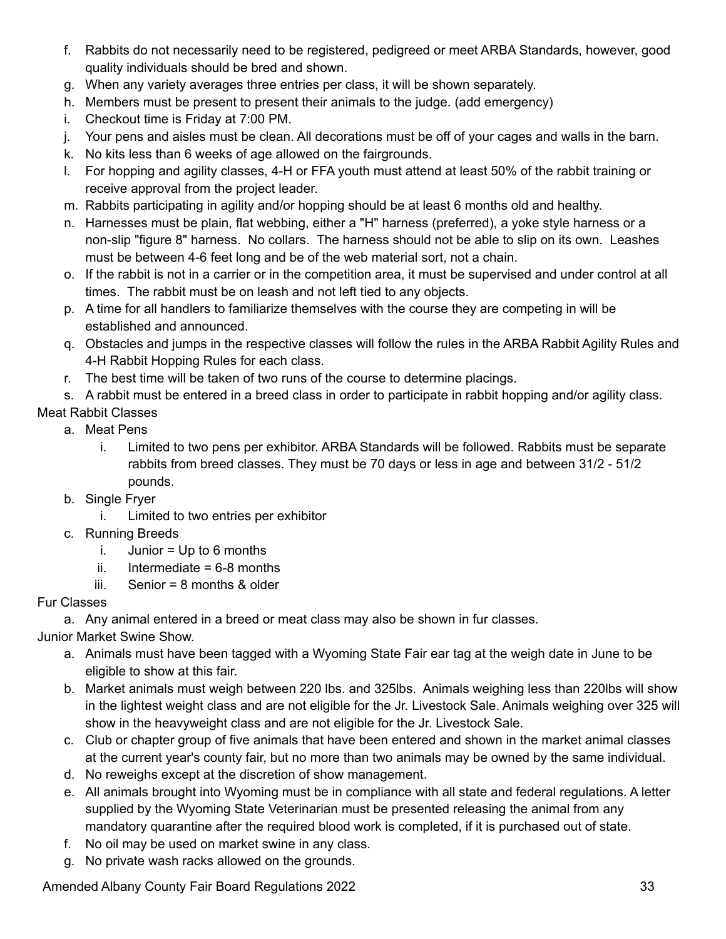- f. Rabbits do not necessarily need to be registered, pedigreed or meet ARBA Standards, however, good quality individuals should be bred and shown.
- g. When any variety averages three entries per class, it will be shown separately.
- h. Members must be present to present their animals to the judge. (add emergency)
- i. Checkout time is Friday at 7:00 PM.
- j. Your pens and aisles must be clean. All decorations must be off of your cages and walls in the barn.
- k. No kits less than 6 weeks of age allowed on the fairgrounds.
- l. For hopping and agility classes, 4-H or FFA youth must attend at least 50% of the rabbit training or receive approval from the project leader.
- m. Rabbits participating in agility and/or hopping should be at least 6 months old and healthy.
- n. Harnesses must be plain, flat webbing, either a "H" harness (preferred), a yoke style harness or a non-slip "figure 8" harness. No collars. The harness should not be able to slip on its own. Leashes must be between 4-6 feet long and be of the web material sort, not a chain.
- o. If the rabbit is not in a carrier or in the competition area, it must be supervised and under control at all times. The rabbit must be on leash and not left tied to any objects.
- p. A time for all handlers to familiarize themselves with the course they are competing in will be established and announced.
- q. Obstacles and jumps in the respective classes will follow the rules in the ARBA Rabbit Agility Rules and 4-H Rabbit Hopping Rules for each class.
- r. The best time will be taken of two runs of the course to determine placings.
- s. A rabbit must be entered in a breed class in order to participate in rabbit hopping and/or agility class.

# Meat Rabbit Classes

- a. Meat Pens
	- i. Limited to two pens per exhibitor. ARBA Standards will be followed. Rabbits must be separate rabbits from breed classes. They must be 70 days or less in age and between 31/2 - 51/2 pounds.
- b. Single Fryer
	- i. Limited to two entries per exhibitor
- c. Running Breeds
	- i. Junior =  $Up$  to 6 months
	- ii. Intermediate  $= 6-8$  months
	- iii. Senior = 8 months & older

# Fur Classes

a. Any animal entered in a breed or meat class may also be shown in fur classes.

Junior Market Swine Show.

- a. Animals must have been tagged with a Wyoming State Fair ear tag at the weigh date in June to be eligible to show at this fair.
- b. Market animals must weigh between 220 lbs. and 325lbs. Animals weighing less than 220lbs will show in the lightest weight class and are not eligible for the Jr. Livestock Sale. Animals weighing over 325 will show in the heavyweight class and are not eligible for the Jr. Livestock Sale.
- c. Club or chapter group of five animals that have been entered and shown in the market animal classes at the current year's county fair, but no more than two animals may be owned by the same individual.
- d. No reweighs except at the discretion of show management.
- e. All animals brought into Wyoming must be in compliance with all state and federal regulations. A letter supplied by the Wyoming State Veterinarian must be presented releasing the animal from any mandatory quarantine after the required blood work is completed, if it is purchased out of state.
- f. No oil may be used on market swine in any class.
- g. No private wash racks allowed on the grounds.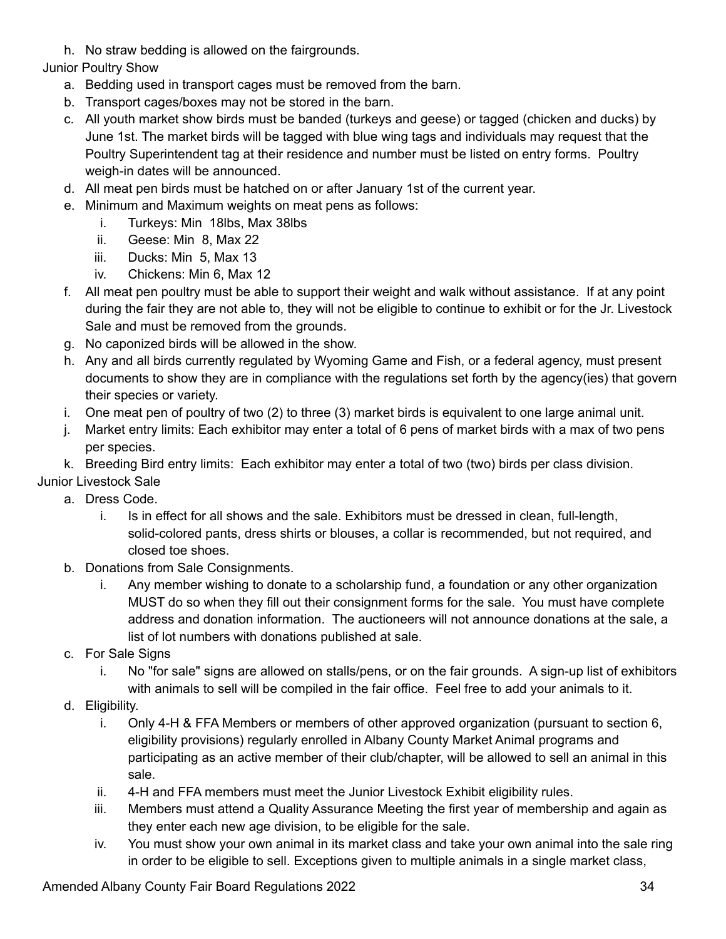h. No straw bedding is allowed on the fairgrounds.

Junior Poultry Show

- a. Bedding used in transport cages must be removed from the barn.
- b. Transport cages/boxes may not be stored in the barn.
- c. All youth market show birds must be banded (turkeys and geese) or tagged (chicken and ducks) by June 1st. The market birds will be tagged with blue wing tags and individuals may request that the Poultry Superintendent tag at their residence and number must be listed on entry forms. Poultry weigh-in dates will be announced.
- d. All meat pen birds must be hatched on or after January 1st of the current year.
- e. Minimum and Maximum weights on meat pens as follows:
	- i. Turkeys: Min 18lbs, Max 38lbs
	- ii. Geese: Min 8, Max 22
	- iii. Ducks: Min 5, Max 13
	- iv. Chickens: Min 6, Max 12
- f. All meat pen poultry must be able to support their weight and walk without assistance. If at any point during the fair they are not able to, they will not be eligible to continue to exhibit or for the Jr. Livestock Sale and must be removed from the grounds.
- g. No caponized birds will be allowed in the show.
- h. Any and all birds currently regulated by Wyoming Game and Fish, or a federal agency, must present documents to show they are in compliance with the regulations set forth by the agency(ies) that govern their species or variety.
- i. One meat pen of poultry of two (2) to three (3) market birds is equivalent to one large animal unit.
- j. Market entry limits: Each exhibitor may enter a total of 6 pens of market birds with a max of two pens per species.
- k. Breeding Bird entry limits: Each exhibitor may enter a total of two (two) birds per class division.

Junior Livestock Sale

- a. Dress Code.
	- i. Is in effect for all shows and the sale. Exhibitors must be dressed in clean, full-length, solid-colored pants, dress shirts or blouses, a collar is recommended, but not required, and closed toe shoes.
- b. Donations from Sale Consignments.
	- i. Any member wishing to donate to a scholarship fund, a foundation or any other organization MUST do so when they fill out their consignment forms for the sale. You must have complete address and donation information. The auctioneers will not announce donations at the sale, a list of lot numbers with donations published at sale.
- c. For Sale Signs
	- i. No "for sale" signs are allowed on stalls/pens, or on the fair grounds. A sign-up list of exhibitors with animals to sell will be compiled in the fair office. Feel free to add your animals to it.
- d. Eligibility.
	- i. Only 4-H & FFA Members or members of other approved organization (pursuant to section 6, eligibility provisions) regularly enrolled in Albany County Market Animal programs and participating as an active member of their club/chapter, will be allowed to sell an animal in this sale.
	- ii. 4-H and FFA members must meet the Junior Livestock Exhibit eligibility rules.
	- iii. Members must attend a Quality Assurance Meeting the first year of membership and again as they enter each new age division, to be eligible for the sale.
	- iv. You must show your own animal in its market class and take your own animal into the sale ring in order to be eligible to sell. Exceptions given to multiple animals in a single market class,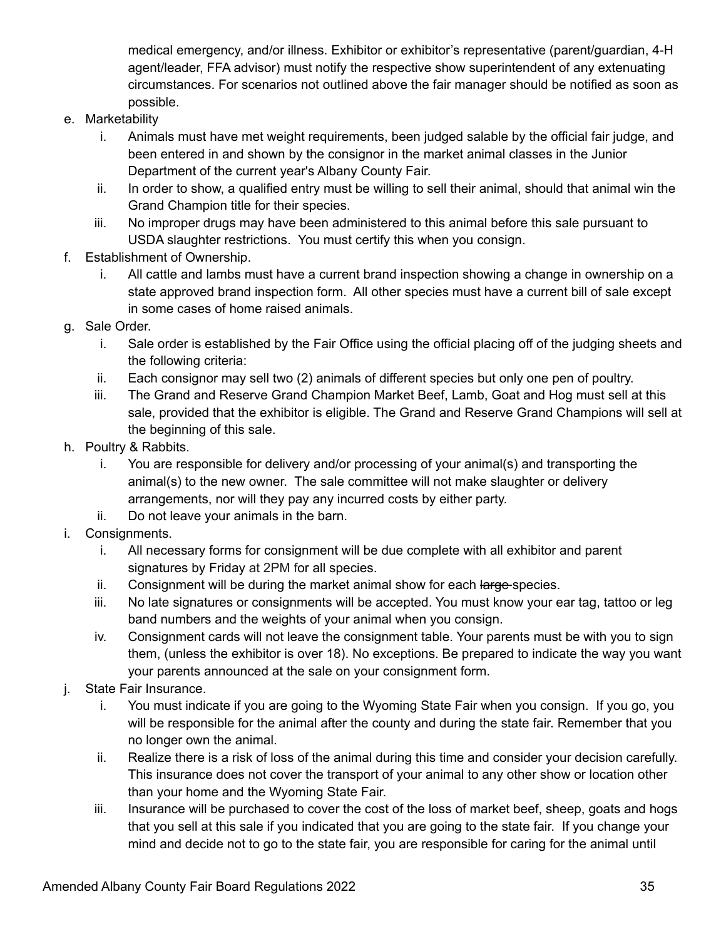medical emergency, and/or illness. Exhibitor or exhibitor's representative (parent/guardian, 4-H agent/leader, FFA advisor) must notify the respective show superintendent of any extenuating circumstances. For scenarios not outlined above the fair manager should be notified as soon as possible.

- e. Marketability
	- i. Animals must have met weight requirements, been judged salable by the official fair judge, and been entered in and shown by the consignor in the market animal classes in the Junior Department of the current year's Albany County Fair.
	- ii. In order to show, a qualified entry must be willing to sell their animal, should that animal win the Grand Champion title for their species.
	- iii. No improper drugs may have been administered to this animal before this sale pursuant to USDA slaughter restrictions. You must certify this when you consign.
- f. Establishment of Ownership.
	- i. All cattle and lambs must have a current brand inspection showing a change in ownership on a state approved brand inspection form. All other species must have a current bill of sale except in some cases of home raised animals.
- g. Sale Order.
	- i. Sale order is established by the Fair Office using the official placing off of the judging sheets and the following criteria:
	- ii. Each consignor may sell two (2) animals of different species but only one pen of poultry.
	- iii. The Grand and Reserve Grand Champion Market Beef, Lamb, Goat and Hog must sell at this sale, provided that the exhibitor is eligible. The Grand and Reserve Grand Champions will sell at the beginning of this sale.
- h. Poultry & Rabbits.
	- i. You are responsible for delivery and/or processing of your animal(s) and transporting the animal(s) to the new owner. The sale committee will not make slaughter or delivery arrangements, nor will they pay any incurred costs by either party.
	- ii. Do not leave your animals in the barn.
- i. Consignments.
	- i. All necessary forms for consignment will be due complete with all exhibitor and parent signatures by Friday at 2PM for all species.
	- ii. Consignment will be during the market animal show for each large species.
	- iii. No late signatures or consignments will be accepted. You must know your ear tag, tattoo or leg band numbers and the weights of your animal when you consign.
	- iv. Consignment cards will not leave the consignment table. Your parents must be with you to sign them, (unless the exhibitor is over 18). No exceptions. Be prepared to indicate the way you want your parents announced at the sale on your consignment form.
- j. State Fair Insurance.
	- i. You must indicate if you are going to the Wyoming State Fair when you consign. If you go, you will be responsible for the animal after the county and during the state fair. Remember that you no longer own the animal.
	- ii. Realize there is a risk of loss of the animal during this time and consider your decision carefully. This insurance does not cover the transport of your animal to any other show or location other than your home and the Wyoming State Fair.
	- iii. Insurance will be purchased to cover the cost of the loss of market beef, sheep, goats and hogs that you sell at this sale if you indicated that you are going to the state fair. If you change your mind and decide not to go to the state fair, you are responsible for caring for the animal until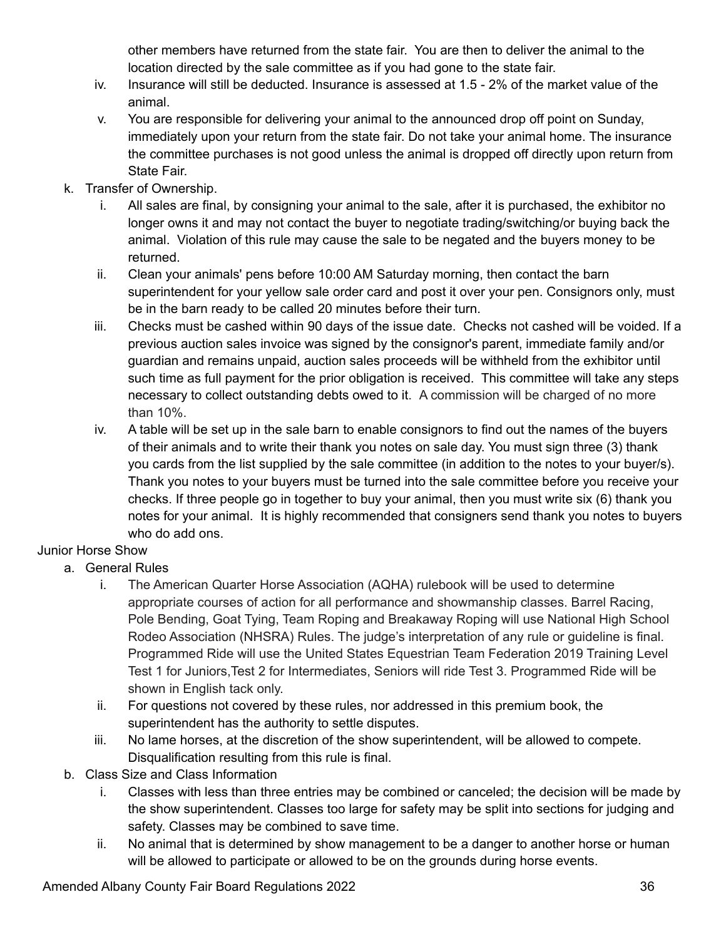other members have returned from the state fair. You are then to deliver the animal to the location directed by the sale committee as if you had gone to the state fair.

- iv. Insurance will still be deducted. Insurance is assessed at 1.5 2% of the market value of the animal.
- v. You are responsible for delivering your animal to the announced drop off point on Sunday, immediately upon your return from the state fair. Do not take your animal home. The insurance the committee purchases is not good unless the animal is dropped off directly upon return from State Fair.
- k. Transfer of Ownership.
	- i. All sales are final, by consigning your animal to the sale, after it is purchased, the exhibitor no longer owns it and may not contact the buyer to negotiate trading/switching/or buying back the animal. Violation of this rule may cause the sale to be negated and the buyers money to be returned.
	- ii. Clean your animals' pens before 10:00 AM Saturday morning, then contact the barn superintendent for your yellow sale order card and post it over your pen. Consignors only, must be in the barn ready to be called 20 minutes before their turn.
	- iii. Checks must be cashed within 90 days of the issue date. Checks not cashed will be voided. If a previous auction sales invoice was signed by the consignor's parent, immediate family and/or guardian and remains unpaid, auction sales proceeds will be withheld from the exhibitor until such time as full payment for the prior obligation is received. This committee will take any steps necessary to collect outstanding debts owed to it. A commission will be charged of no more than 10%.
	- iv. A table will be set up in the sale barn to enable consignors to find out the names of the buyers of their animals and to write their thank you notes on sale day. You must sign three (3) thank you cards from the list supplied by the sale committee (in addition to the notes to your buyer/s). Thank you notes to your buyers must be turned into the sale committee before you receive your checks. If three people go in together to buy your animal, then you must write six (6) thank you notes for your animal. It is highly recommended that consigners send thank you notes to buyers who do add ons.

# Junior Horse Show

- a. General Rules
	- i. The American Quarter Horse Association (AQHA) rulebook will be used to determine appropriate courses of action for all performance and showmanship classes. Barrel Racing, Pole Bending, Goat Tying, Team Roping and Breakaway Roping will use National High School Rodeo Association (NHSRA) Rules. The judge's interpretation of any rule or guideline is final. Programmed Ride will use the United States Equestrian Team Federation 2019 Training Level Test 1 for Juniors,Test 2 for Intermediates, Seniors will ride Test 3. Programmed Ride will be shown in English tack only.
	- ii. For questions not covered by these rules, nor addressed in this premium book, the superintendent has the authority to settle disputes.
	- iii. No lame horses, at the discretion of the show superintendent, will be allowed to compete. Disqualification resulting from this rule is final.
- b. Class Size and Class Information
	- i. Classes with less than three entries may be combined or canceled; the decision will be made by the show superintendent. Classes too large for safety may be split into sections for judging and safety. Classes may be combined to save time.
	- ii. No animal that is determined by show management to be a danger to another horse or human will be allowed to participate or allowed to be on the grounds during horse events.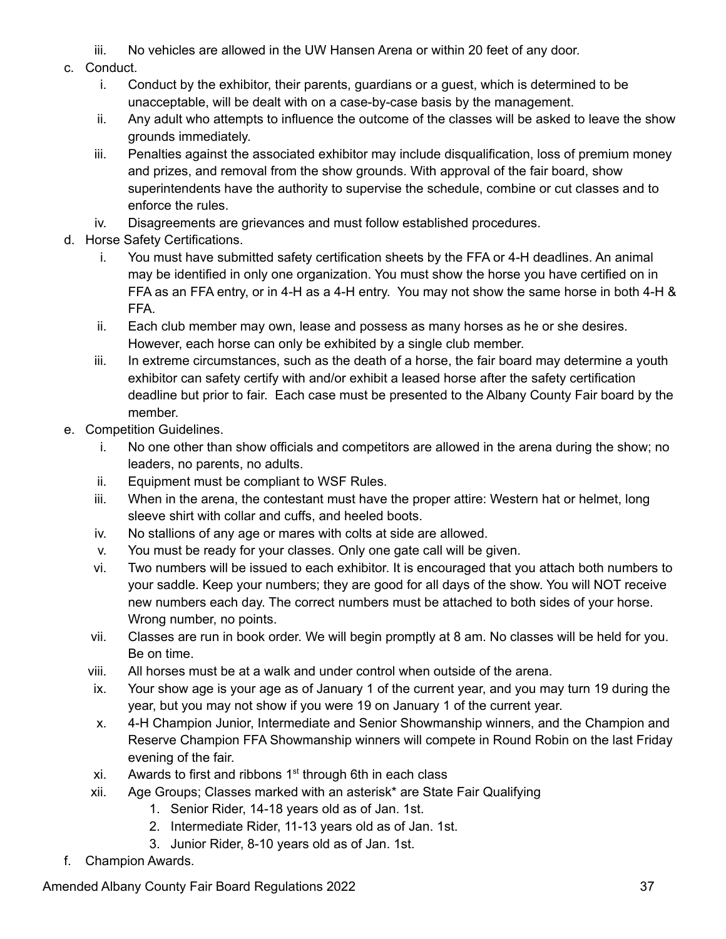- iii. No vehicles are allowed in the UW Hansen Arena or within 20 feet of any door.
- c. Conduct.
	- i. Conduct by the exhibitor, their parents, guardians or a guest, which is determined to be unacceptable, will be dealt with on a case-by-case basis by the management.
	- ii. Any adult who attempts to influence the outcome of the classes will be asked to leave the show grounds immediately.
	- iii. Penalties against the associated exhibitor may include disqualification, loss of premium money and prizes, and removal from the show grounds. With approval of the fair board, show superintendents have the authority to supervise the schedule, combine or cut classes and to enforce the rules.
	- iv. Disagreements are grievances and must follow established procedures.
- d. Horse Safety Certifications.
	- i. You must have submitted safety certification sheets by the FFA or 4-H deadlines. An animal may be identified in only one organization. You must show the horse you have certified on in FFA as an FFA entry, or in 4-H as a 4-H entry. You may not show the same horse in both 4-H & FFA.
	- ii. Each club member may own, lease and possess as many horses as he or she desires. However, each horse can only be exhibited by a single club member.
	- iii. In extreme circumstances, such as the death of a horse, the fair board may determine a youth exhibitor can safety certify with and/or exhibit a leased horse after the safety certification deadline but prior to fair. Each case must be presented to the Albany County Fair board by the member.
- e. Competition Guidelines.
	- i. No one other than show officials and competitors are allowed in the arena during the show; no leaders, no parents, no adults.
	- ii. Equipment must be compliant to WSF Rules.
	- iii. When in the arena, the contestant must have the proper attire: Western hat or helmet, long sleeve shirt with collar and cuffs, and heeled boots.
	- iv. No stallions of any age or mares with colts at side are allowed.
	- v. You must be ready for your classes. Only one gate call will be given.
	- vi. Two numbers will be issued to each exhibitor. It is encouraged that you attach both numbers to your saddle. Keep your numbers; they are good for all days of the show. You will NOT receive new numbers each day. The correct numbers must be attached to both sides of your horse. Wrong number, no points.
	- vii. Classes are run in book order. We will begin promptly at 8 am. No classes will be held for you. Be on time.
	- viii. All horses must be at a walk and under control when outside of the arena.
	- ix. Your show age is your age as of January 1 of the current year, and you may turn 19 during the year, but you may not show if you were 19 on January 1 of the current year.
	- x. 4-H Champion Junior, Intermediate and Senior Showmanship winners, and the Champion and Reserve Champion FFA Showmanship winners will compete in Round Robin on the last Friday evening of the fair.
	- xi. Awards to first and ribbons  $1<sup>st</sup>$  through 6th in each class
	- xii. Age Groups; Classes marked with an asterisk\* are State Fair Qualifying
		- 1. Senior Rider, 14-18 years old as of Jan. 1st.
		- 2. Intermediate Rider, 11-13 years old as of Jan. 1st.
		- 3. Junior Rider, 8-10 years old as of Jan. 1st.
- f. Champion Awards.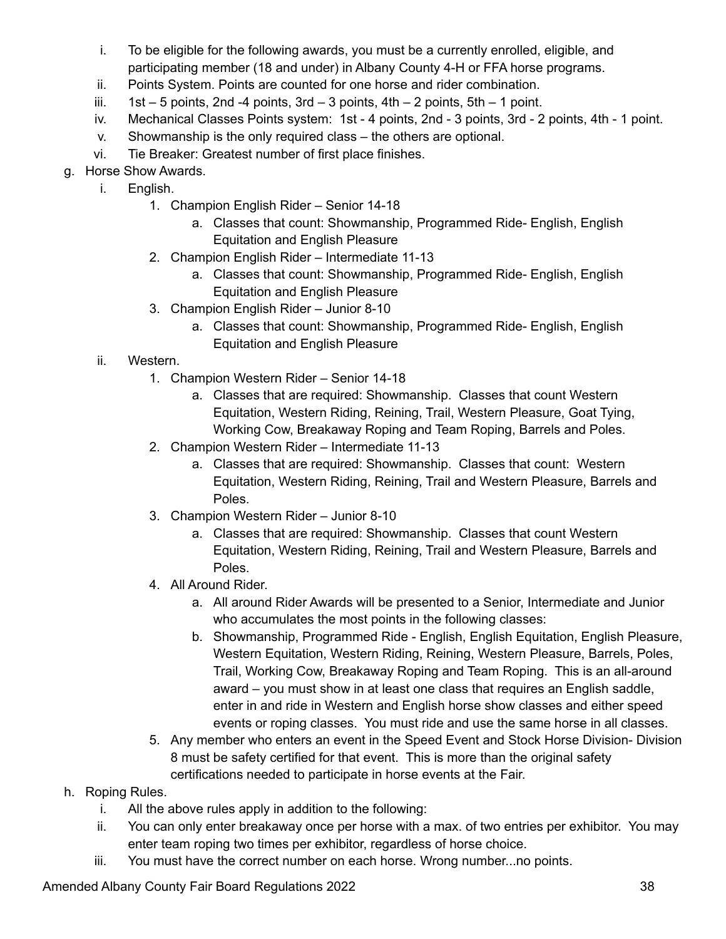- i. To be eligible for the following awards, you must be a currently enrolled, eligible, and participating member (18 and under) in Albany County 4-H or FFA horse programs.
- ii. Points System. Points are counted for one horse and rider combination.
- iii.  $1st 5$  points, 2nd -4 points, 3rd  $-3$  points, 4th  $-2$  points, 5th  $-1$  point.
- iv. Mechanical Classes Points system: 1st 4 points, 2nd 3 points, 3rd 2 points, 4th 1 point.
- v. Showmanship is the only required class the others are optional.
- vi. Tie Breaker: Greatest number of first place finishes.
- g. Horse Show Awards.
	- i. English.
		- 1. Champion English Rider Senior 14-18
			- a. Classes that count: Showmanship, Programmed Ride- English, English Equitation and English Pleasure
		- 2. Champion English Rider Intermediate 11-13
			- a. Classes that count: Showmanship, Programmed Ride- English, English Equitation and English Pleasure
		- 3. Champion English Rider Junior 8-10
			- a. Classes that count: Showmanship, Programmed Ride- English, English Equitation and English Pleasure
	- ii. Western.
		- 1. Champion Western Rider Senior 14-18
			- a. Classes that are required: Showmanship. Classes that count Western Equitation, Western Riding, Reining, Trail, Western Pleasure, Goat Tying, Working Cow, Breakaway Roping and Team Roping, Barrels and Poles.
		- 2. Champion Western Rider Intermediate 11-13
			- a. Classes that are required: Showmanship. Classes that count: Western Equitation, Western Riding, Reining, Trail and Western Pleasure, Barrels and Poles.
		- 3. Champion Western Rider Junior 8-10
			- a. Classes that are required: Showmanship. Classes that count Western Equitation, Western Riding, Reining, Trail and Western Pleasure, Barrels and Poles.
		- 4. All Around Rider.
			- a. All around Rider Awards will be presented to a Senior, Intermediate and Junior who accumulates the most points in the following classes:
			- b. Showmanship, Programmed Ride English, English Equitation, English Pleasure, Western Equitation, Western Riding, Reining, Western Pleasure, Barrels, Poles, Trail, Working Cow, Breakaway Roping and Team Roping. This is an all-around award – you must show in at least one class that requires an English saddle, enter in and ride in Western and English horse show classes and either speed events or roping classes. You must ride and use the same horse in all classes.
		- 5. Any member who enters an event in the Speed Event and Stock Horse Division- Division 8 must be safety certified for that event. This is more than the original safety certifications needed to participate in horse events at the Fair.
- h. Roping Rules.
	- i. All the above rules apply in addition to the following:
	- ii. You can only enter breakaway once per horse with a max. of two entries per exhibitor. You may enter team roping two times per exhibitor, regardless of horse choice.
	- iii. You must have the correct number on each horse. Wrong number...no points.